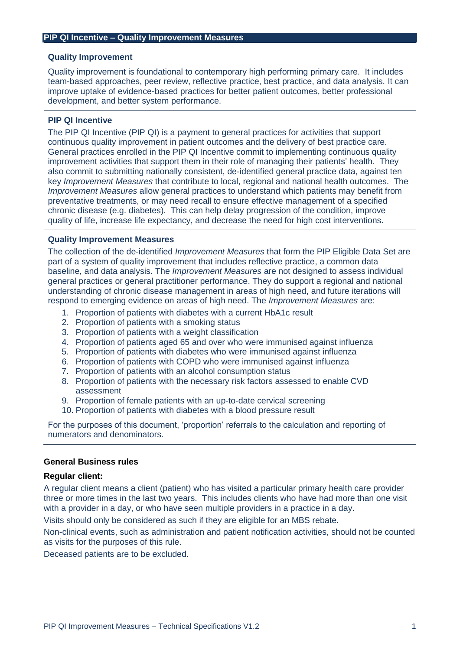#### **Quality Improvement**

Quality improvement is foundational to contemporary high performing primary care. It includes team-based approaches, peer review, reflective practice, best practice, and data analysis. It can improve uptake of evidence-based practices for better patient outcomes, better professional development, and better system performance.

### **PIP QI Incentive**

The PIP QI Incentive (PIP QI) is a payment to general practices for activities that support continuous quality improvement in patient outcomes and the delivery of best practice care. General practices enrolled in the PIP QI Incentive commit to implementing continuous quality improvement activities that support them in their role of managing their patients' health. They also commit to submitting nationally consistent, de-identified general practice data, against ten key *Improvement Measures* that contribute to local, regional and national health outcomes. The *Improvement Measures* allow general practices to understand which patients may benefit from preventative treatments, or may need recall to ensure effective management of a specified chronic disease (e.g. diabetes). This can help delay progression of the condition, improve quality of life, increase life expectancy, and decrease the need for high cost interventions.

#### **Quality Improvement Measures**

The collection of the de-identified *Improvement Measures* that form the PIP Eligible Data Set are part of a system of quality improvement that includes reflective practice, a common data baseline, and data analysis. The *Improvement Measures* are not designed to assess individual general practices or general practitioner performance. They do support a regional and national understanding of chronic disease management in areas of high need, and future iterations will respond to emerging evidence on areas of high need. The *Improvement Measures* are:

- 1. Proportion of patients with diabetes with a current HbA1c result
- 2. Proportion of patients with a smoking status
- 3. Proportion of patients with a weight classification
- 4. Proportion of patients aged 65 and over who were immunised against influenza
- 5. Proportion of patients with diabetes who were immunised against influenza
- 6. Proportion of patients with COPD who were immunised against influenza
- 7. Proportion of patients with an alcohol consumption status
- 8. Proportion of patients with the necessary risk factors assessed to enable CVD assessment
- 9. Proportion of female patients with an up-to-date cervical screening
- 10. Proportion of patients with diabetes with a blood pressure result

For the purposes of this document, 'proportion' referrals to the calculation and reporting of numerators and denominators.

#### **General Business rules**

#### **Regular client:**

A regular client means a client (patient) who has visited a particular primary health care provider three or more times in the last two years. This includes clients who have had more than one visit with a provider in a day, or who have seen multiple providers in a practice in a day.

Visits should only be considered as such if they are eligible for an MBS rebate.

Non-clinical events, such as administration and patient notification activities, should not be counted as visits for the purposes of this rule.

Deceased patients are to be excluded.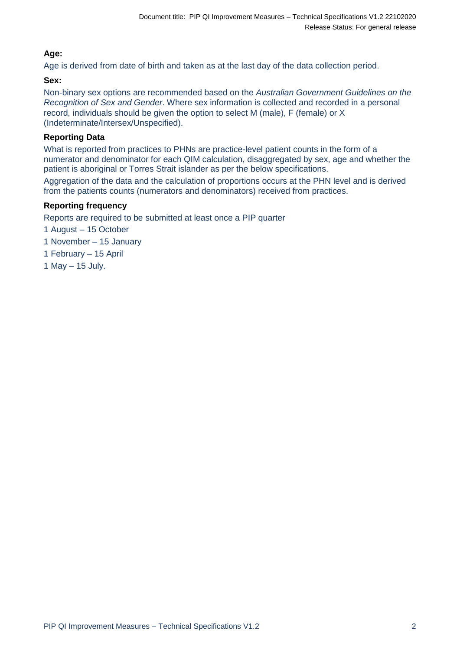# **Age:**

Age is derived from date of birth and taken as at the last day of the data collection period.

# **Sex:**

Non-binary sex options are recommended based on the *Australian Government Guidelines on the Recognition of Sex and Gender*. Where sex information is collected and recorded in a personal record, individuals should be given the option to select M (male), F (female) or X (Indeterminate/Intersex/Unspecified).

## **Reporting Data**

What is reported from practices to PHNs are practice-level patient counts in the form of a numerator and denominator for each QIM calculation, disaggregated by sex, age and whether the patient is aboriginal or Torres Strait islander as per the below specifications.

Aggregation of the data and the calculation of proportions occurs at the PHN level and is derived from the patients counts (numerators and denominators) received from practices.

### **Reporting frequency**

Reports are required to be submitted at least once a PIP quarter

- 1 August 15 October
- 1 November 15 January
- 1 February 15 April
- 1 May 15 July.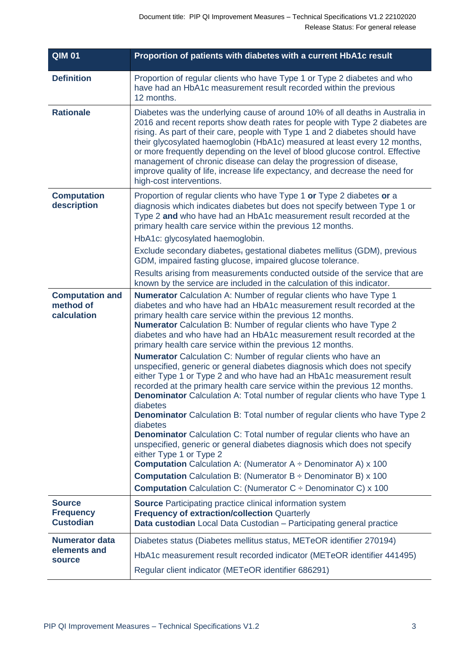| <b>QIM 01</b>                                         | Proportion of patients with diabetes with a current HbA1c result                                                                                                                                                                                                                                                                                                                                                                                                                                                                                                                                                                                                                                                                                                                                                                                                                                                                                                                                                                                                                                                                     |
|-------------------------------------------------------|--------------------------------------------------------------------------------------------------------------------------------------------------------------------------------------------------------------------------------------------------------------------------------------------------------------------------------------------------------------------------------------------------------------------------------------------------------------------------------------------------------------------------------------------------------------------------------------------------------------------------------------------------------------------------------------------------------------------------------------------------------------------------------------------------------------------------------------------------------------------------------------------------------------------------------------------------------------------------------------------------------------------------------------------------------------------------------------------------------------------------------------|
| <b>Definition</b>                                     | Proportion of regular clients who have Type 1 or Type 2 diabetes and who<br>have had an HbA1c measurement result recorded within the previous<br>12 months.                                                                                                                                                                                                                                                                                                                                                                                                                                                                                                                                                                                                                                                                                                                                                                                                                                                                                                                                                                          |
| <b>Rationale</b>                                      | Diabetes was the underlying cause of around 10% of all deaths in Australia in<br>2016 and recent reports show death rates for people with Type 2 diabetes are<br>rising. As part of their care, people with Type 1 and 2 diabetes should have<br>their glycosylated haemoglobin (HbA1c) measured at least every 12 months,<br>or more frequently depending on the level of blood glucose control. Effective<br>management of chronic disease can delay the progression of disease,<br>improve quality of life, increase life expectancy, and decrease the need for<br>high-cost interventions.                                                                                                                                                                                                                                                                                                                                                                                                                                                                                                                                       |
| <b>Computation</b><br>description                     | Proportion of regular clients who have Type 1 or Type 2 diabetes or a<br>diagnosis which indicates diabetes but does not specify between Type 1 or<br>Type 2 and who have had an HbA1c measurement result recorded at the<br>primary health care service within the previous 12 months.                                                                                                                                                                                                                                                                                                                                                                                                                                                                                                                                                                                                                                                                                                                                                                                                                                              |
|                                                       | HbA1c: glycosylated haemoglobin.                                                                                                                                                                                                                                                                                                                                                                                                                                                                                                                                                                                                                                                                                                                                                                                                                                                                                                                                                                                                                                                                                                     |
|                                                       | Exclude secondary diabetes, gestational diabetes mellitus (GDM), previous<br>GDM, impaired fasting glucose, impaired glucose tolerance.                                                                                                                                                                                                                                                                                                                                                                                                                                                                                                                                                                                                                                                                                                                                                                                                                                                                                                                                                                                              |
|                                                       | Results arising from measurements conducted outside of the service that are<br>known by the service are included in the calculation of this indicator.                                                                                                                                                                                                                                                                                                                                                                                                                                                                                                                                                                                                                                                                                                                                                                                                                                                                                                                                                                               |
| <b>Computation and</b><br>method of<br>calculation    | <b>Numerator</b> Calculation A: Number of regular clients who have Type 1<br>diabetes and who have had an HbA1c measurement result recorded at the<br>primary health care service within the previous 12 months.<br><b>Numerator</b> Calculation B: Number of regular clients who have Type 2<br>diabetes and who have had an HbA1c measurement result recorded at the<br>primary health care service within the previous 12 months.<br><b>Numerator</b> Calculation C: Number of regular clients who have an<br>unspecified, generic or general diabetes diagnosis which does not specify<br>either Type 1 or Type 2 and who have had an HbA1c measurement result<br>recorded at the primary health care service within the previous 12 months.<br>Denominator Calculation A: Total number of regular clients who have Type 1<br>diabetes<br><b>Denominator</b> Calculation B: Total number of regular clients who have Type 2<br>diabetes<br><b>Denominator</b> Calculation C: Total number of regular clients who have an<br>unspecified, generic or general diabetes diagnosis which does not specify<br>either Type 1 or Type 2 |
|                                                       | <b>Computation</b> Calculation A: (Numerator $A \div$ Denominator A) x 100<br><b>Computation</b> Calculation B: (Numerator $B \div$ Denominator B) x 100                                                                                                                                                                                                                                                                                                                                                                                                                                                                                                                                                                                                                                                                                                                                                                                                                                                                                                                                                                             |
|                                                       | <b>Computation</b> Calculation C: (Numerator $C \div$ Denominator C) x 100                                                                                                                                                                                                                                                                                                                                                                                                                                                                                                                                                                                                                                                                                                                                                                                                                                                                                                                                                                                                                                                           |
| <b>Source</b><br><b>Frequency</b><br><b>Custodian</b> | <b>Source</b> Participating practice clinical information system<br><b>Frequency of extraction/collection Quarterly</b><br>Data custodian Local Data Custodian - Participating general practice                                                                                                                                                                                                                                                                                                                                                                                                                                                                                                                                                                                                                                                                                                                                                                                                                                                                                                                                      |
| <b>Numerator data</b>                                 | Diabetes status (Diabetes mellitus status, METeOR identifier 270194)                                                                                                                                                                                                                                                                                                                                                                                                                                                                                                                                                                                                                                                                                                                                                                                                                                                                                                                                                                                                                                                                 |
| elements and<br><b>source</b>                         | HbA1c measurement result recorded indicator (METeOR identifier 441495)                                                                                                                                                                                                                                                                                                                                                                                                                                                                                                                                                                                                                                                                                                                                                                                                                                                                                                                                                                                                                                                               |
|                                                       | Regular client indicator (METeOR identifier 686291)                                                                                                                                                                                                                                                                                                                                                                                                                                                                                                                                                                                                                                                                                                                                                                                                                                                                                                                                                                                                                                                                                  |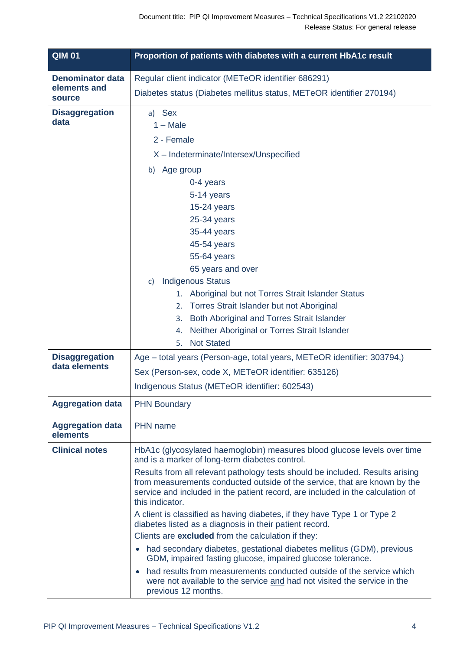| <b>QIM 01</b>                          | Proportion of patients with diabetes with a current HbA1c result                                                                                                                                                                                                                                                                                                                                                                                                                                                                                                                                                                                                                                                                                                                                                                                                                                                                       |
|----------------------------------------|----------------------------------------------------------------------------------------------------------------------------------------------------------------------------------------------------------------------------------------------------------------------------------------------------------------------------------------------------------------------------------------------------------------------------------------------------------------------------------------------------------------------------------------------------------------------------------------------------------------------------------------------------------------------------------------------------------------------------------------------------------------------------------------------------------------------------------------------------------------------------------------------------------------------------------------|
| <b>Denominator data</b>                | Regular client indicator (METeOR identifier 686291)                                                                                                                                                                                                                                                                                                                                                                                                                                                                                                                                                                                                                                                                                                                                                                                                                                                                                    |
| elements and<br>source                 | Diabetes status (Diabetes mellitus status, METeOR identifier 270194)                                                                                                                                                                                                                                                                                                                                                                                                                                                                                                                                                                                                                                                                                                                                                                                                                                                                   |
| <b>Disaggregation</b><br>data          | a) Sex<br>$1 - Male$<br>2 - Female<br>X - Indeterminate/Intersex/Unspecified<br>b) Age group<br>0-4 years<br>5-14 years<br>15-24 years<br>25-34 years<br>35-44 years<br>45-54 years<br>55-64 years<br>65 years and over<br><b>Indigenous Status</b><br>$\mathsf{c}$<br>1. Aboriginal but not Torres Strait Islander Status<br>2. Torres Strait Islander but not Aboriginal<br>Both Aboriginal and Torres Strait Islander<br>3.<br>Neither Aboriginal or Torres Strait Islander<br>4.<br><b>Not Stated</b><br>5.                                                                                                                                                                                                                                                                                                                                                                                                                        |
| <b>Disaggregation</b><br>data elements | Age – total years (Person-age, total years, METeOR identifier: 303794,)<br>Sex (Person-sex, code X, METeOR identifier: 635126)<br>Indigenous Status (METeOR identifier: 602543)                                                                                                                                                                                                                                                                                                                                                                                                                                                                                                                                                                                                                                                                                                                                                        |
| <b>Aggregation data</b>                | <b>PHN Boundary</b>                                                                                                                                                                                                                                                                                                                                                                                                                                                                                                                                                                                                                                                                                                                                                                                                                                                                                                                    |
| <b>Aggregation data</b><br>elements    | PHN name                                                                                                                                                                                                                                                                                                                                                                                                                                                                                                                                                                                                                                                                                                                                                                                                                                                                                                                               |
| <b>Clinical notes</b>                  | HbA1c (glycosylated haemoglobin) measures blood glucose levels over time<br>and is a marker of long-term diabetes control.<br>Results from all relevant pathology tests should be included. Results arising<br>from measurements conducted outside of the service, that are known by the<br>service and included in the patient record, are included in the calculation of<br>this indicator.<br>A client is classified as having diabetes, if they have Type 1 or Type 2<br>diabetes listed as a diagnosis in their patient record.<br>Clients are excluded from the calculation if they:<br>had secondary diabetes, gestational diabetes mellitus (GDM), previous<br>$\bullet$<br>GDM, impaired fasting glucose, impaired glucose tolerance.<br>had results from measurements conducted outside of the service which<br>$\bullet$<br>were not available to the service and had not visited the service in the<br>previous 12 months. |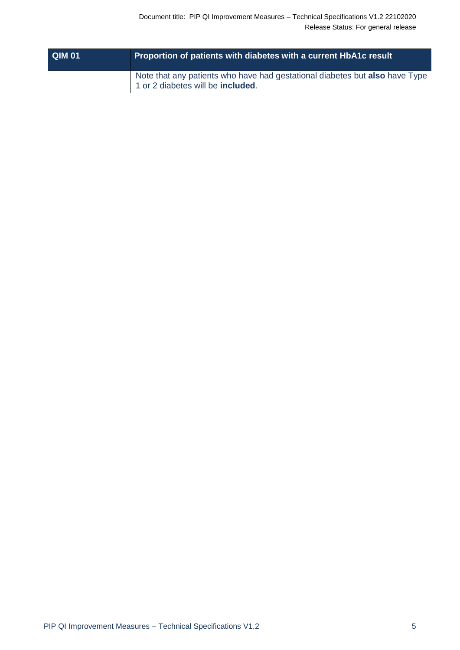| <b>QIM 01</b> | Proportion of patients with diabetes with a current HbA1c result                                                 |
|---------------|------------------------------------------------------------------------------------------------------------------|
|               | Note that any patients who have had gestational diabetes but also have Type<br>1 or 2 diabetes will be included. |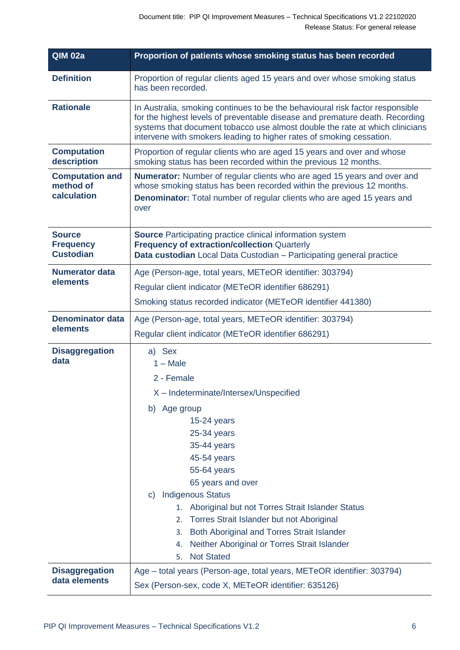| <b>QIM 02a</b>                                        | Proportion of patients whose smoking status has been recorded                                                                                                                                                                                                                                                                                                                                                |
|-------------------------------------------------------|--------------------------------------------------------------------------------------------------------------------------------------------------------------------------------------------------------------------------------------------------------------------------------------------------------------------------------------------------------------------------------------------------------------|
| <b>Definition</b>                                     | Proportion of regular clients aged 15 years and over whose smoking status<br>has been recorded.                                                                                                                                                                                                                                                                                                              |
| <b>Rationale</b>                                      | In Australia, smoking continues to be the behavioural risk factor responsible<br>for the highest levels of preventable disease and premature death. Recording<br>systems that document tobacco use almost double the rate at which clinicians<br>intervene with smokers leading to higher rates of smoking cessation.                                                                                        |
| <b>Computation</b><br>description                     | Proportion of regular clients who are aged 15 years and over and whose<br>smoking status has been recorded within the previous 12 months.                                                                                                                                                                                                                                                                    |
| <b>Computation and</b><br>method of<br>calculation    | <b>Numerator:</b> Number of regular clients who are aged 15 years and over and<br>whose smoking status has been recorded within the previous 12 months.<br><b>Denominator:</b> Total number of regular clients who are aged 15 years and<br>over                                                                                                                                                             |
| <b>Source</b><br><b>Frequency</b><br><b>Custodian</b> | <b>Source</b> Participating practice clinical information system<br><b>Frequency of extraction/collection Quarterly</b><br>Data custodian Local Data Custodian - Participating general practice                                                                                                                                                                                                              |
| <b>Numerator data</b>                                 | Age (Person-age, total years, METeOR identifier: 303794)                                                                                                                                                                                                                                                                                                                                                     |
| elements                                              | Regular client indicator (METeOR identifier 686291)                                                                                                                                                                                                                                                                                                                                                          |
|                                                       | Smoking status recorded indicator (METeOR identifier 441380)                                                                                                                                                                                                                                                                                                                                                 |
| <b>Denominator data</b>                               | Age (Person-age, total years, METeOR identifier: 303794)                                                                                                                                                                                                                                                                                                                                                     |
| elements                                              | Regular client indicator (METeOR identifier 686291)                                                                                                                                                                                                                                                                                                                                                          |
| <b>Disaggregation</b><br>data                         | a) Sex<br>$1 - Male$<br>2 - Female                                                                                                                                                                                                                                                                                                                                                                           |
|                                                       | X - Indeterminate/Intersex/Unspecified                                                                                                                                                                                                                                                                                                                                                                       |
|                                                       | b) Age group<br>$15-24$ years<br>25-34 years<br>35-44 years<br>45-54 years<br>55-64 years<br>65 years and over<br><b>Indigenous Status</b><br>$\mathbf{C}$<br>Aboriginal but not Torres Strait Islander Status<br>1.<br>Torres Strait Islander but not Aboriginal<br>2.<br>Both Aboriginal and Torres Strait Islander<br>3.<br>Neither Aboriginal or Torres Strait Islander<br>4.<br><b>Not Stated</b><br>5. |
| <b>Disaggregation</b><br>data elements                | Age - total years (Person-age, total years, METeOR identifier: 303794)<br>Sex (Person-sex, code X, METeOR identifier: 635126)                                                                                                                                                                                                                                                                                |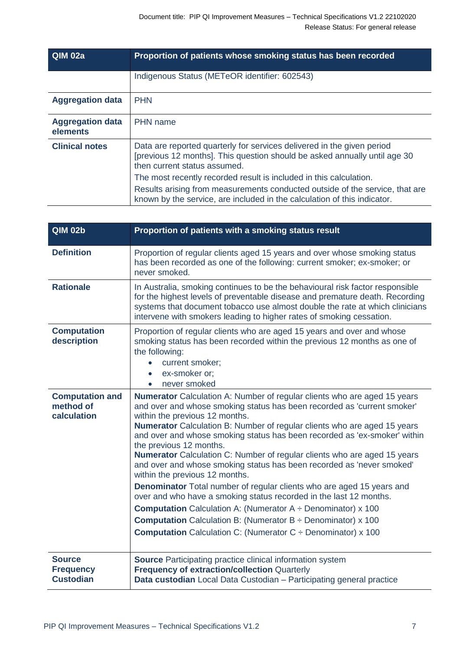| <b>QIM 02a</b>                      | Proportion of patients whose smoking status has been recorded                                                                                                                       |
|-------------------------------------|-------------------------------------------------------------------------------------------------------------------------------------------------------------------------------------|
|                                     | Indigenous Status (METeOR identifier: 602543)                                                                                                                                       |
| <b>Aggregation data</b>             | <b>PHN</b>                                                                                                                                                                          |
| <b>Aggregation data</b><br>elements | PHN name                                                                                                                                                                            |
| <b>Clinical notes</b>               | Data are reported quarterly for services delivered in the given period<br>[previous 12 months]. This question should be asked annually until age 30<br>then current status assumed. |
|                                     | The most recently recorded result is included in this calculation.                                                                                                                  |
|                                     | Results arising from measurements conducted outside of the service, that are<br>known by the service, are included in the calculation of this indicator.                            |

| <b>QIM 02b</b>                                        | Proportion of patients with a smoking status result                                                                                                                                                                                                                                                                                                                                                                                                                                                                                                                                                                                                                                                                                                                                                                                                                                                                                                               |
|-------------------------------------------------------|-------------------------------------------------------------------------------------------------------------------------------------------------------------------------------------------------------------------------------------------------------------------------------------------------------------------------------------------------------------------------------------------------------------------------------------------------------------------------------------------------------------------------------------------------------------------------------------------------------------------------------------------------------------------------------------------------------------------------------------------------------------------------------------------------------------------------------------------------------------------------------------------------------------------------------------------------------------------|
| <b>Definition</b>                                     | Proportion of regular clients aged 15 years and over whose smoking status<br>has been recorded as one of the following: current smoker; ex-smoker; or<br>never smoked.                                                                                                                                                                                                                                                                                                                                                                                                                                                                                                                                                                                                                                                                                                                                                                                            |
| <b>Rationale</b>                                      | In Australia, smoking continues to be the behavioural risk factor responsible<br>for the highest levels of preventable disease and premature death. Recording<br>systems that document tobacco use almost double the rate at which clinicians<br>intervene with smokers leading to higher rates of smoking cessation.                                                                                                                                                                                                                                                                                                                                                                                                                                                                                                                                                                                                                                             |
| <b>Computation</b><br>description                     | Proportion of regular clients who are aged 15 years and over and whose<br>smoking status has been recorded within the previous 12 months as one of<br>the following:<br>current smoker;<br>ex-smoker or:<br>$\bullet$<br>never smoked<br>$\bullet$                                                                                                                                                                                                                                                                                                                                                                                                                                                                                                                                                                                                                                                                                                                |
| <b>Computation and</b><br>method of<br>calculation    | Numerator Calculation A: Number of regular clients who are aged 15 years<br>and over and whose smoking status has been recorded as 'current smoker'<br>within the previous 12 months.<br>Numerator Calculation B: Number of regular clients who are aged 15 years<br>and over and whose smoking status has been recorded as 'ex-smoker' within<br>the previous 12 months.<br><b>Numerator</b> Calculation C: Number of regular clients who are aged 15 years<br>and over and whose smoking status has been recorded as 'never smoked'<br>within the previous 12 months.<br><b>Denominator</b> Total number of regular clients who are aged 15 years and<br>over and who have a smoking status recorded in the last 12 months.<br><b>Computation</b> Calculation A: (Numerator $A \div$ Denominator) x 100<br><b>Computation</b> Calculation B: (Numerator $B \div$ Denominator) x 100<br><b>Computation</b> Calculation C: (Numerator $C \div$ Denominator) x 100 |
| <b>Source</b><br><b>Frequency</b><br><b>Custodian</b> | <b>Source Participating practice clinical information system</b><br><b>Frequency of extraction/collection Quarterly</b><br>Data custodian Local Data Custodian - Participating general practice                                                                                                                                                                                                                                                                                                                                                                                                                                                                                                                                                                                                                                                                                                                                                                   |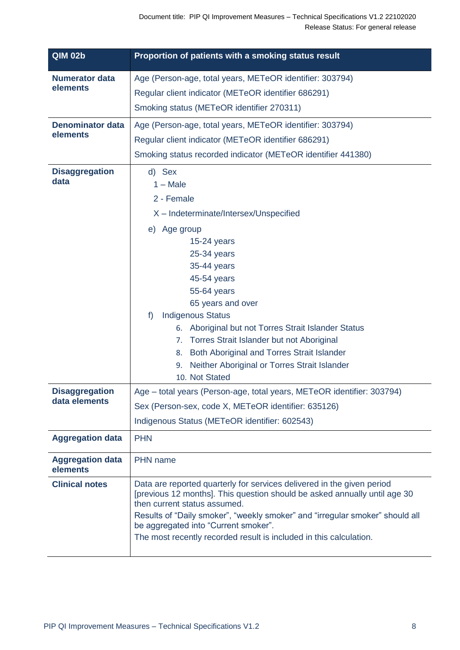| <b>QIM 02b</b>                         | Proportion of patients with a smoking status result                                                                                                                                                                                                                                                                                                                                                                                                                |
|----------------------------------------|--------------------------------------------------------------------------------------------------------------------------------------------------------------------------------------------------------------------------------------------------------------------------------------------------------------------------------------------------------------------------------------------------------------------------------------------------------------------|
| <b>Numerator data</b><br>elements      | Age (Person-age, total years, METeOR identifier: 303794)<br>Regular client indicator (METeOR identifier 686291)<br>Smoking status (METeOR identifier 270311)                                                                                                                                                                                                                                                                                                       |
| <b>Denominator data</b><br>elements    | Age (Person-age, total years, METeOR identifier: 303794)<br>Regular client indicator (METeOR identifier 686291)<br>Smoking status recorded indicator (METeOR identifier 441380)                                                                                                                                                                                                                                                                                    |
| <b>Disaggregation</b><br>data          | d) Sex<br>$1 - Male$<br>2 - Female<br>X - Indeterminate/Intersex/Unspecified<br>e) Age group<br>$15-24$ years<br>25-34 years<br>35-44 years<br>45-54 years<br>55-64 years<br>65 years and over<br><b>Indigenous Status</b><br>f<br>6. Aboriginal but not Torres Strait Islander Status<br>7. Torres Strait Islander but not Aboriginal<br>Both Aboriginal and Torres Strait Islander<br>8.<br>Neither Aboriginal or Torres Strait Islander<br>9.<br>10. Not Stated |
| <b>Disaggregation</b><br>data elements | Age - total years (Person-age, total years, METeOR identifier: 303794)<br>Sex (Person-sex, code X, METeOR identifier: 635126)<br>Indigenous Status (METeOR identifier: 602543)                                                                                                                                                                                                                                                                                     |
| <b>Aggregation data</b>                | <b>PHN</b>                                                                                                                                                                                                                                                                                                                                                                                                                                                         |
| <b>Aggregation data</b><br>elements    | <b>PHN</b> name                                                                                                                                                                                                                                                                                                                                                                                                                                                    |
| <b>Clinical notes</b>                  | Data are reported quarterly for services delivered in the given period<br>[previous 12 months]. This question should be asked annually until age 30<br>then current status assumed.<br>Results of "Daily smoker", "weekly smoker" and "irregular smoker" should all<br>be aggregated into "Current smoker".<br>The most recently recorded result is included in this calculation.                                                                                  |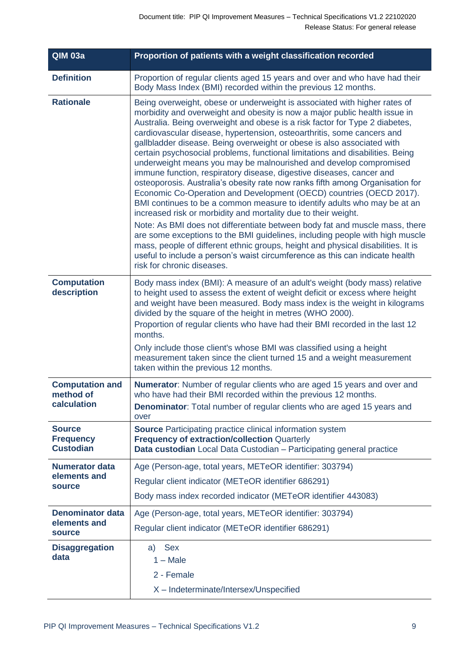| <b>QIM 03a</b>                                           | Proportion of patients with a weight classification recorded                                                                                                                                                                                                                                                                                                                                                                                                                                                                                                                                                                                                                                                                                                                                                                                                                                                                                                                                                                                                                                                                                                                                                                                                                                    |
|----------------------------------------------------------|-------------------------------------------------------------------------------------------------------------------------------------------------------------------------------------------------------------------------------------------------------------------------------------------------------------------------------------------------------------------------------------------------------------------------------------------------------------------------------------------------------------------------------------------------------------------------------------------------------------------------------------------------------------------------------------------------------------------------------------------------------------------------------------------------------------------------------------------------------------------------------------------------------------------------------------------------------------------------------------------------------------------------------------------------------------------------------------------------------------------------------------------------------------------------------------------------------------------------------------------------------------------------------------------------|
| <b>Definition</b>                                        | Proportion of regular clients aged 15 years and over and who have had their<br>Body Mass Index (BMI) recorded within the previous 12 months.                                                                                                                                                                                                                                                                                                                                                                                                                                                                                                                                                                                                                                                                                                                                                                                                                                                                                                                                                                                                                                                                                                                                                    |
| <b>Rationale</b>                                         | Being overweight, obese or underweight is associated with higher rates of<br>morbidity and overweight and obesity is now a major public health issue in<br>Australia. Being overweight and obese is a risk factor for Type 2 diabetes,<br>cardiovascular disease, hypertension, osteoarthritis, some cancers and<br>gallbladder disease. Being overweight or obese is also associated with<br>certain psychosocial problems, functional limitations and disabilities. Being<br>underweight means you may be malnourished and develop compromised<br>immune function, respiratory disease, digestive diseases, cancer and<br>osteoporosis. Australia's obesity rate now ranks fifth among Organisation for<br>Economic Co-Operation and Development (OECD) countries (OECD 2017).<br>BMI continues to be a common measure to identify adults who may be at an<br>increased risk or morbidity and mortality due to their weight.<br>Note: As BMI does not differentiate between body fat and muscle mass, there<br>are some exceptions to the BMI guidelines, including people with high muscle<br>mass, people of different ethnic groups, height and physical disabilities. It is<br>useful to include a person's waist circumference as this can indicate health<br>risk for chronic diseases. |
| <b>Computation</b><br>description                        | Body mass index (BMI): A measure of an adult's weight (body mass) relative<br>to height used to assess the extent of weight deficit or excess where height<br>and weight have been measured. Body mass index is the weight in kilograms<br>divided by the square of the height in metres (WHO 2000).<br>Proportion of regular clients who have had their BMI recorded in the last 12<br>months.<br>Only include those client's whose BMI was classified using a height<br>measurement taken since the client turned 15 and a weight measurement<br>taken within the previous 12 months.                                                                                                                                                                                                                                                                                                                                                                                                                                                                                                                                                                                                                                                                                                         |
| <b>Computation and</b><br>method of<br>calculation       | Numerator: Number of regular clients who are aged 15 years and over and<br>who have had their BMI recorded within the previous 12 months.<br><b>Denominator:</b> Total number of regular clients who are aged 15 years and<br>over                                                                                                                                                                                                                                                                                                                                                                                                                                                                                                                                                                                                                                                                                                                                                                                                                                                                                                                                                                                                                                                              |
| <b>Source</b><br><b>Frequency</b><br><b>Custodian</b>    | <b>Source</b> Participating practice clinical information system<br><b>Frequency of extraction/collection Quarterly</b><br>Data custodian Local Data Custodian - Participating general practice                                                                                                                                                                                                                                                                                                                                                                                                                                                                                                                                                                                                                                                                                                                                                                                                                                                                                                                                                                                                                                                                                                 |
| <b>Numerator data</b><br>elements and<br>source          | Age (Person-age, total years, METeOR identifier: 303794)<br>Regular client indicator (METeOR identifier 686291)<br>Body mass index recorded indicator (METeOR identifier 443083)                                                                                                                                                                                                                                                                                                                                                                                                                                                                                                                                                                                                                                                                                                                                                                                                                                                                                                                                                                                                                                                                                                                |
| <b>Denominator data</b><br>elements and<br><b>source</b> | Age (Person-age, total years, METeOR identifier: 303794)<br>Regular client indicator (METeOR identifier 686291)                                                                                                                                                                                                                                                                                                                                                                                                                                                                                                                                                                                                                                                                                                                                                                                                                                                                                                                                                                                                                                                                                                                                                                                 |
| <b>Disaggregation</b><br>data                            | <b>Sex</b><br>a)<br>$1 - Male$<br>2 - Female<br>X - Indeterminate/Intersex/Unspecified                                                                                                                                                                                                                                                                                                                                                                                                                                                                                                                                                                                                                                                                                                                                                                                                                                                                                                                                                                                                                                                                                                                                                                                                          |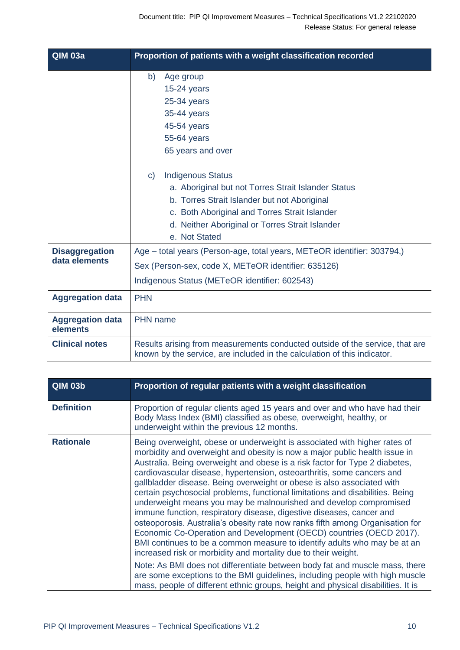| <b>QIM 03a</b>                         | Proportion of patients with a weight classification recorded                                                                                                                                                                                                         |
|----------------------------------------|----------------------------------------------------------------------------------------------------------------------------------------------------------------------------------------------------------------------------------------------------------------------|
|                                        | b)<br>Age group<br>$15-24$ years<br>$25-34$ years<br>35-44 years<br>45-54 years<br>55-64 years<br>65 years and over                                                                                                                                                  |
|                                        | <b>Indigenous Status</b><br>$\mathbf{C}$<br>a. Aboriginal but not Torres Strait Islander Status<br>b. Torres Strait Islander but not Aboriginal<br>c. Both Aboriginal and Torres Strait Islander<br>d. Neither Aboriginal or Torres Strait Islander<br>e. Not Stated |
| <b>Disaggregation</b><br>data elements | Age - total years (Person-age, total years, METeOR identifier: 303794,)<br>Sex (Person-sex, code X, METeOR identifier: 635126)<br>Indigenous Status (METeOR identifier: 602543)                                                                                      |
| <b>Aggregation data</b>                | <b>PHN</b>                                                                                                                                                                                                                                                           |
| <b>Aggregation data</b><br>elements    | <b>PHN</b> name                                                                                                                                                                                                                                                      |
| <b>Clinical notes</b>                  | Results arising from measurements conducted outside of the service, that are<br>known by the service, are included in the calculation of this indicator.                                                                                                             |

| <b>QIM 03b</b>    | Proportion of regular patients with a weight classification                                                                                                                                                                                                                                                                                                                                                                                                                                                                                                                                                                                                                                                                                                                                                                                                                                                                                                                                                                                                                                                                                                                       |
|-------------------|-----------------------------------------------------------------------------------------------------------------------------------------------------------------------------------------------------------------------------------------------------------------------------------------------------------------------------------------------------------------------------------------------------------------------------------------------------------------------------------------------------------------------------------------------------------------------------------------------------------------------------------------------------------------------------------------------------------------------------------------------------------------------------------------------------------------------------------------------------------------------------------------------------------------------------------------------------------------------------------------------------------------------------------------------------------------------------------------------------------------------------------------------------------------------------------|
| <b>Definition</b> | Proportion of regular clients aged 15 years and over and who have had their<br>Body Mass Index (BMI) classified as obese, overweight, healthy, or<br>underweight within the previous 12 months.                                                                                                                                                                                                                                                                                                                                                                                                                                                                                                                                                                                                                                                                                                                                                                                                                                                                                                                                                                                   |
| <b>Rationale</b>  | Being overweight, obese or underweight is associated with higher rates of<br>morbidity and overweight and obesity is now a major public health issue in<br>Australia. Being overweight and obese is a risk factor for Type 2 diabetes,<br>cardiovascular disease, hypertension, osteoarthritis, some cancers and<br>gallbladder disease. Being overweight or obese is also associated with<br>certain psychosocial problems, functional limitations and disabilities. Being<br>underweight means you may be malnourished and develop compromised<br>immune function, respiratory disease, digestive diseases, cancer and<br>osteoporosis. Australia's obesity rate now ranks fifth among Organisation for<br>Economic Co-Operation and Development (OECD) countries (OECD 2017).<br>BMI continues to be a common measure to identify adults who may be at an<br>increased risk or morbidity and mortality due to their weight.<br>Note: As BMI does not differentiate between body fat and muscle mass, there<br>are some exceptions to the BMI guidelines, including people with high muscle<br>mass, people of different ethnic groups, height and physical disabilities. It is |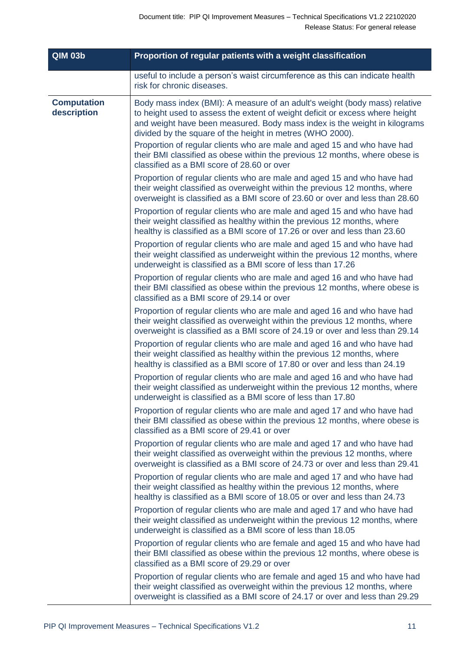| <b>QIM 03b</b>                    | Proportion of regular patients with a weight classification                                                                                                                                                                                                                                                                                                                                                                                                                                                  |
|-----------------------------------|--------------------------------------------------------------------------------------------------------------------------------------------------------------------------------------------------------------------------------------------------------------------------------------------------------------------------------------------------------------------------------------------------------------------------------------------------------------------------------------------------------------|
|                                   | useful to include a person's waist circumference as this can indicate health<br>risk for chronic diseases.                                                                                                                                                                                                                                                                                                                                                                                                   |
| <b>Computation</b><br>description | Body mass index (BMI): A measure of an adult's weight (body mass) relative<br>to height used to assess the extent of weight deficit or excess where height<br>and weight have been measured. Body mass index is the weight in kilograms<br>divided by the square of the height in metres (WHO 2000).<br>Proportion of regular clients who are male and aged 15 and who have had<br>their BMI classified as obese within the previous 12 months, where obese is<br>classified as a BMI score of 28.60 or over |
|                                   | Proportion of regular clients who are male and aged 15 and who have had<br>their weight classified as overweight within the previous 12 months, where<br>overweight is classified as a BMI score of 23.60 or over and less than 28.60                                                                                                                                                                                                                                                                        |
|                                   | Proportion of regular clients who are male and aged 15 and who have had<br>their weight classified as healthy within the previous 12 months, where<br>healthy is classified as a BMI score of 17.26 or over and less than 23.60                                                                                                                                                                                                                                                                              |
|                                   | Proportion of regular clients who are male and aged 15 and who have had<br>their weight classified as underweight within the previous 12 months, where<br>underweight is classified as a BMI score of less than 17.26                                                                                                                                                                                                                                                                                        |
|                                   | Proportion of regular clients who are male and aged 16 and who have had<br>their BMI classified as obese within the previous 12 months, where obese is<br>classified as a BMI score of 29.14 or over                                                                                                                                                                                                                                                                                                         |
|                                   | Proportion of regular clients who are male and aged 16 and who have had<br>their weight classified as overweight within the previous 12 months, where<br>overweight is classified as a BMI score of 24.19 or over and less than 29.14                                                                                                                                                                                                                                                                        |
|                                   | Proportion of regular clients who are male and aged 16 and who have had<br>their weight classified as healthy within the previous 12 months, where<br>healthy is classified as a BMI score of 17.80 or over and less than 24.19                                                                                                                                                                                                                                                                              |
|                                   | Proportion of regular clients who are male and aged 16 and who have had<br>their weight classified as underweight within the previous 12 months, where<br>underweight is classified as a BMI score of less than 17.80                                                                                                                                                                                                                                                                                        |
|                                   | Proportion of regular clients who are male and aged 17 and who have had<br>their BMI classified as obese within the previous 12 months, where obese is<br>classified as a BMI score of 29.41 or over                                                                                                                                                                                                                                                                                                         |
|                                   | Proportion of regular clients who are male and aged 17 and who have had<br>their weight classified as overweight within the previous 12 months, where<br>overweight is classified as a BMI score of 24.73 or over and less than 29.41                                                                                                                                                                                                                                                                        |
|                                   | Proportion of regular clients who are male and aged 17 and who have had<br>their weight classified as healthy within the previous 12 months, where<br>healthy is classified as a BMI score of 18.05 or over and less than 24.73                                                                                                                                                                                                                                                                              |
|                                   | Proportion of regular clients who are male and aged 17 and who have had<br>their weight classified as underweight within the previous 12 months, where<br>underweight is classified as a BMI score of less than 18.05                                                                                                                                                                                                                                                                                        |
|                                   | Proportion of regular clients who are female and aged 15 and who have had<br>their BMI classified as obese within the previous 12 months, where obese is<br>classified as a BMI score of 29.29 or over                                                                                                                                                                                                                                                                                                       |
|                                   | Proportion of regular clients who are female and aged 15 and who have had<br>their weight classified as overweight within the previous 12 months, where<br>overweight is classified as a BMI score of 24.17 or over and less than 29.29                                                                                                                                                                                                                                                                      |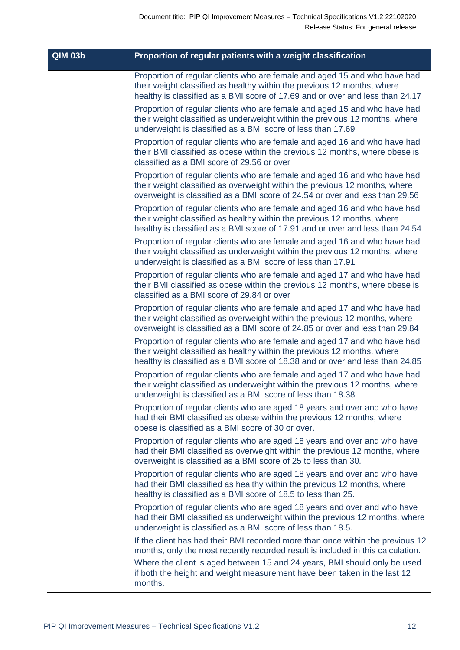| <b>QIM 03b</b> | Proportion of regular patients with a weight classification                                                                                                                                                                                                                                                                           |
|----------------|---------------------------------------------------------------------------------------------------------------------------------------------------------------------------------------------------------------------------------------------------------------------------------------------------------------------------------------|
|                | Proportion of regular clients who are female and aged 15 and who have had<br>their weight classified as healthy within the previous 12 months, where<br>healthy is classified as a BMI score of 17.69 and or over and less than 24.17                                                                                                 |
|                | Proportion of regular clients who are female and aged 15 and who have had<br>their weight classified as underweight within the previous 12 months, where<br>underweight is classified as a BMI score of less than 17.69                                                                                                               |
|                | Proportion of regular clients who are female and aged 16 and who have had<br>their BMI classified as obese within the previous 12 months, where obese is<br>classified as a BMI score of 29.56 or over                                                                                                                                |
|                | Proportion of regular clients who are female and aged 16 and who have had<br>their weight classified as overweight within the previous 12 months, where<br>overweight is classified as a BMI score of 24.54 or over and less than 29.56                                                                                               |
|                | Proportion of regular clients who are female and aged 16 and who have had<br>their weight classified as healthy within the previous 12 months, where<br>healthy is classified as a BMI score of 17.91 and or over and less than 24.54                                                                                                 |
|                | Proportion of regular clients who are female and aged 16 and who have had<br>their weight classified as underweight within the previous 12 months, where<br>underweight is classified as a BMI score of less than 17.91                                                                                                               |
|                | Proportion of regular clients who are female and aged 17 and who have had<br>their BMI classified as obese within the previous 12 months, where obese is<br>classified as a BMI score of 29.84 or over                                                                                                                                |
|                | Proportion of regular clients who are female and aged 17 and who have had<br>their weight classified as overweight within the previous 12 months, where<br>overweight is classified as a BMI score of 24.85 or over and less than 29.84                                                                                               |
|                | Proportion of regular clients who are female and aged 17 and who have had<br>their weight classified as healthy within the previous 12 months, where<br>healthy is classified as a BMI score of 18.38 and or over and less than 24.85                                                                                                 |
|                | Proportion of regular clients who are female and aged 17 and who have had<br>their weight classified as underweight within the previous 12 months, where<br>underweight is classified as a BMI score of less than 18.38                                                                                                               |
|                | Proportion of regular clients who are aged 18 years and over and who have<br>had their BMI classified as obese within the previous 12 months, where<br>obese is classified as a BMI score of 30 or over.                                                                                                                              |
|                | Proportion of regular clients who are aged 18 years and over and who have<br>had their BMI classified as overweight within the previous 12 months, where<br>overweight is classified as a BMI score of 25 to less than 30.                                                                                                            |
|                | Proportion of regular clients who are aged 18 years and over and who have<br>had their BMI classified as healthy within the previous 12 months, where<br>healthy is classified as a BMI score of 18.5 to less than 25.                                                                                                                |
|                | Proportion of regular clients who are aged 18 years and over and who have<br>had their BMI classified as underweight within the previous 12 months, where<br>underweight is classified as a BMI score of less than 18.5.                                                                                                              |
|                | If the client has had their BMI recorded more than once within the previous 12<br>months, only the most recently recorded result is included in this calculation.<br>Where the client is aged between 15 and 24 years, BMI should only be used<br>if both the height and weight measurement have been taken in the last 12<br>months. |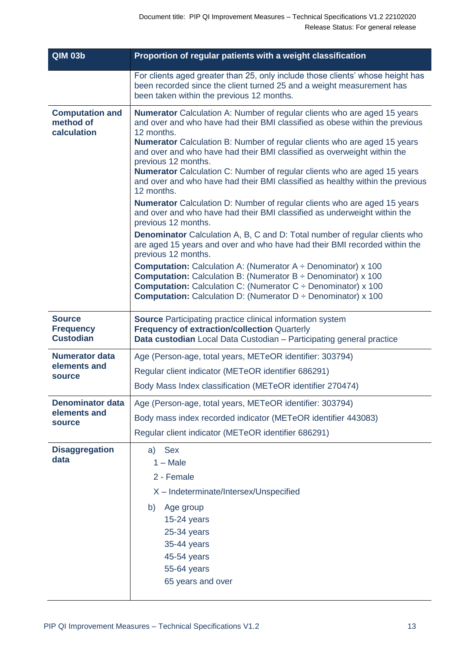| <b>QIM 03b</b>                                           | Proportion of regular patients with a weight classification                                                                                                                                                                                                                                                                                                                                                                                                                                                                                                                                                                                                                                                                                                                                                                                                                                                                                                                                                                                                                                  |
|----------------------------------------------------------|----------------------------------------------------------------------------------------------------------------------------------------------------------------------------------------------------------------------------------------------------------------------------------------------------------------------------------------------------------------------------------------------------------------------------------------------------------------------------------------------------------------------------------------------------------------------------------------------------------------------------------------------------------------------------------------------------------------------------------------------------------------------------------------------------------------------------------------------------------------------------------------------------------------------------------------------------------------------------------------------------------------------------------------------------------------------------------------------|
|                                                          | For clients aged greater than 25, only include those clients' whose height has<br>been recorded since the client turned 25 and a weight measurement has<br>been taken within the previous 12 months.                                                                                                                                                                                                                                                                                                                                                                                                                                                                                                                                                                                                                                                                                                                                                                                                                                                                                         |
| <b>Computation and</b><br>method of<br>calculation       | <b>Numerator</b> Calculation A: Number of regular clients who are aged 15 years<br>and over and who have had their BMI classified as obese within the previous<br>12 months.<br><b>Numerator</b> Calculation B: Number of regular clients who are aged 15 years<br>and over and who have had their BMI classified as overweight within the<br>previous 12 months.<br><b>Numerator</b> Calculation C: Number of regular clients who are aged 15 years<br>and over and who have had their BMI classified as healthy within the previous<br>12 months.<br><b>Numerator</b> Calculation D: Number of regular clients who are aged 15 years<br>and over and who have had their BMI classified as underweight within the<br>previous 12 months.<br><b>Denominator</b> Calculation A, B, C and D: Total number of regular clients who<br>are aged 15 years and over and who have had their BMI recorded within the<br>previous 12 months.<br><b>Computation:</b> Calculation A: (Numerator $A \div$ Denominator) x 100<br><b>Computation:</b> Calculation B: (Numerator $B \div$ Denominator) x 100 |
|                                                          | <b>Computation:</b> Calculation C: (Numerator $C \div$ Denominator) x 100<br><b>Computation:</b> Calculation D: (Numerator $D \div$ Denominator) x 100                                                                                                                                                                                                                                                                                                                                                                                                                                                                                                                                                                                                                                                                                                                                                                                                                                                                                                                                       |
| <b>Source</b><br><b>Frequency</b><br><b>Custodian</b>    | <b>Source</b> Participating practice clinical information system<br><b>Frequency of extraction/collection Quarterly</b><br>Data custodian Local Data Custodian - Participating general practice                                                                                                                                                                                                                                                                                                                                                                                                                                                                                                                                                                                                                                                                                                                                                                                                                                                                                              |
| <b>Numerator data</b><br>elements and<br>source          | Age (Person-age, total years, METeOR identifier: 303794)<br>Regular client indicator (METeOR identifier 686291)<br>Body Mass Index classification (METeOR identifier 270474)                                                                                                                                                                                                                                                                                                                                                                                                                                                                                                                                                                                                                                                                                                                                                                                                                                                                                                                 |
| <b>Denominator data</b><br>elements and<br><b>source</b> | Age (Person-age, total years, METeOR identifier: 303794)<br>Body mass index recorded indicator (METeOR identifier 443083)<br>Regular client indicator (METeOR identifier 686291)                                                                                                                                                                                                                                                                                                                                                                                                                                                                                                                                                                                                                                                                                                                                                                                                                                                                                                             |
| <b>Disaggregation</b><br>data                            | <b>Sex</b><br>a)<br>$1 - Male$<br>2 - Female<br>X - Indeterminate/Intersex/Unspecified<br>b)<br>Age group<br>15-24 years<br>25-34 years<br>35-44 years<br>45-54 years<br>55-64 years<br>65 years and over                                                                                                                                                                                                                                                                                                                                                                                                                                                                                                                                                                                                                                                                                                                                                                                                                                                                                    |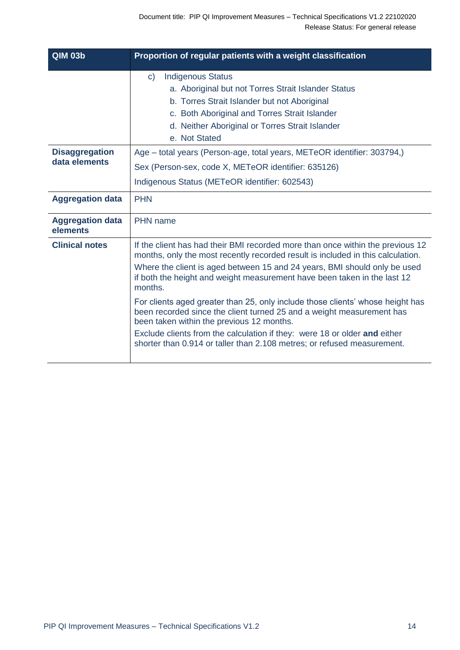| <b>QIM 03b</b>                         | Proportion of regular patients with a weight classification                                                                                                                                                                                                                                                                                                                                                                                                                                                                                                                                                                                                                                           |
|----------------------------------------|-------------------------------------------------------------------------------------------------------------------------------------------------------------------------------------------------------------------------------------------------------------------------------------------------------------------------------------------------------------------------------------------------------------------------------------------------------------------------------------------------------------------------------------------------------------------------------------------------------------------------------------------------------------------------------------------------------|
|                                        | <b>Indigenous Status</b><br>$\mathsf{C}$<br>a. Aboriginal but not Torres Strait Islander Status<br>b. Torres Strait Islander but not Aboriginal<br>c. Both Aboriginal and Torres Strait Islander<br>d. Neither Aboriginal or Torres Strait Islander<br>e. Not Stated                                                                                                                                                                                                                                                                                                                                                                                                                                  |
| <b>Disaggregation</b><br>data elements | Age – total years (Person-age, total years, METeOR identifier: 303794,)<br>Sex (Person-sex, code X, METeOR identifier: 635126)<br>Indigenous Status (METeOR identifier: 602543)                                                                                                                                                                                                                                                                                                                                                                                                                                                                                                                       |
| <b>Aggregation data</b>                | <b>PHN</b>                                                                                                                                                                                                                                                                                                                                                                                                                                                                                                                                                                                                                                                                                            |
| <b>Aggregation data</b><br>elements    | <b>PHN</b> name                                                                                                                                                                                                                                                                                                                                                                                                                                                                                                                                                                                                                                                                                       |
| <b>Clinical notes</b>                  | If the client has had their BMI recorded more than once within the previous 12<br>months, only the most recently recorded result is included in this calculation.<br>Where the client is aged between 15 and 24 years, BMI should only be used<br>if both the height and weight measurement have been taken in the last 12<br>months.<br>For clients aged greater than 25, only include those clients' whose height has<br>been recorded since the client turned 25 and a weight measurement has<br>been taken within the previous 12 months.<br>Exclude clients from the calculation if they: were 18 or older and either<br>shorter than 0.914 or taller than 2.108 metres; or refused measurement. |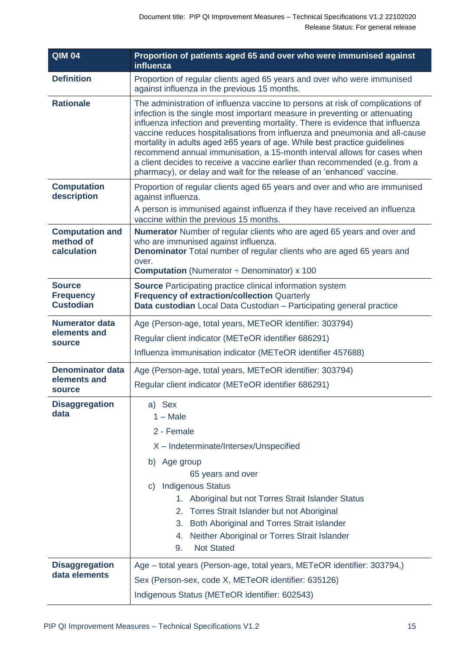| <b>QIM 04</b>                                         | Proportion of patients aged 65 and over who were immunised against<br>influenza                                                                                                                                                                                                                                                                                                                                                                                                                                                                                                                                                                  |
|-------------------------------------------------------|--------------------------------------------------------------------------------------------------------------------------------------------------------------------------------------------------------------------------------------------------------------------------------------------------------------------------------------------------------------------------------------------------------------------------------------------------------------------------------------------------------------------------------------------------------------------------------------------------------------------------------------------------|
| <b>Definition</b>                                     | Proportion of regular clients aged 65 years and over who were immunised<br>against influenza in the previous 15 months.                                                                                                                                                                                                                                                                                                                                                                                                                                                                                                                          |
| <b>Rationale</b>                                      | The administration of influenza vaccine to persons at risk of complications of<br>infection is the single most important measure in preventing or attenuating<br>influenza infection and preventing mortality. There is evidence that influenza<br>vaccine reduces hospitalisations from influenza and pneumonia and all-cause<br>mortality in adults aged ≥65 years of age. While best practice guidelines<br>recommend annual immunisation, a 15-month interval allows for cases when<br>a client decides to receive a vaccine earlier than recommended (e.g. from a<br>pharmacy), or delay and wait for the release of an 'enhanced' vaccine. |
| <b>Computation</b><br>description                     | Proportion of regular clients aged 65 years and over and who are immunised<br>against influenza.<br>A person is immunised against influenza if they have received an influenza                                                                                                                                                                                                                                                                                                                                                                                                                                                                   |
|                                                       | vaccine within the previous 15 months.                                                                                                                                                                                                                                                                                                                                                                                                                                                                                                                                                                                                           |
| <b>Computation and</b><br>method of<br>calculation    | <b>Numerator</b> Number of regular clients who are aged 65 years and over and<br>who are immunised against influenza.<br><b>Denominator</b> Total number of regular clients who are aged 65 years and<br>over.<br><b>Computation</b> (Numerator $\div$ Denominator) x 100                                                                                                                                                                                                                                                                                                                                                                        |
| <b>Source</b><br><b>Frequency</b><br><b>Custodian</b> | Source Participating practice clinical information system<br><b>Frequency of extraction/collection Quarterly</b><br>Data custodian Local Data Custodian - Participating general practice                                                                                                                                                                                                                                                                                                                                                                                                                                                         |
| <b>Numerator data</b><br>elements and<br>source       | Age (Person-age, total years, METeOR identifier: 303794)<br>Regular client indicator (METeOR identifier 686291)<br>Influenza immunisation indicator (METeOR identifier 457688)                                                                                                                                                                                                                                                                                                                                                                                                                                                                   |
| <b>Denominator data</b><br>elements and<br>source     | Age (Person-age, total years, METeOR identifier: 303794)<br>Regular client indicator (METeOR identifier 686291)                                                                                                                                                                                                                                                                                                                                                                                                                                                                                                                                  |
| <b>Disaggregation</b><br>data                         | a) Sex<br>$1 - Male$<br>2 - Female<br>X - Indeterminate/Intersex/Unspecified<br>b) Age group<br>65 years and over<br><b>Indigenous Status</b><br>$\mathbf{C}$<br>1. Aboriginal but not Torres Strait Islander Status<br>Torres Strait Islander but not Aboriginal<br>2.<br>Both Aboriginal and Torres Strait Islander<br>3.<br>Neither Aboriginal or Torres Strait Islander<br>4.<br><b>Not Stated</b><br>9.                                                                                                                                                                                                                                     |
| <b>Disaggregation</b><br>data elements                | Age - total years (Person-age, total years, METeOR identifier: 303794,)<br>Sex (Person-sex, code X, METeOR identifier: 635126)<br>Indigenous Status (METeOR identifier: 602543)                                                                                                                                                                                                                                                                                                                                                                                                                                                                  |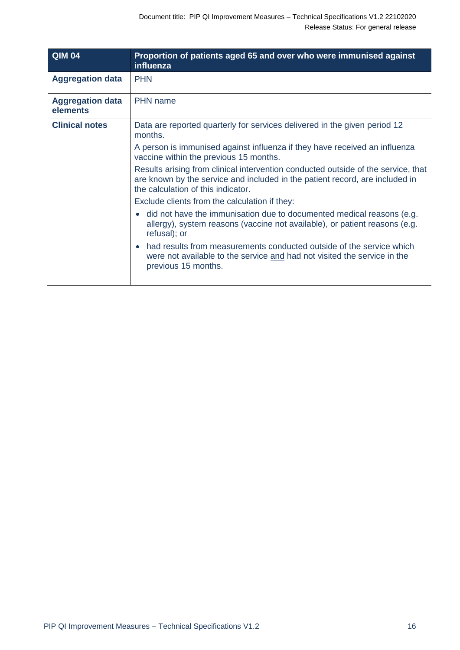| <b>QIM 04</b>                       | Proportion of patients aged 65 and over who were immunised against<br>influenza                                                                                                                         |
|-------------------------------------|---------------------------------------------------------------------------------------------------------------------------------------------------------------------------------------------------------|
| <b>Aggregation data</b>             | <b>PHN</b>                                                                                                                                                                                              |
| <b>Aggregation data</b><br>elements | <b>PHN</b> name                                                                                                                                                                                         |
| <b>Clinical notes</b>               | Data are reported quarterly for services delivered in the given period 12<br>months.                                                                                                                    |
|                                     | A person is immunised against influenza if they have received an influenza<br>vaccine within the previous 15 months.                                                                                    |
|                                     | Results arising from clinical intervention conducted outside of the service, that<br>are known by the service and included in the patient record, are included in<br>the calculation of this indicator. |
|                                     | Exclude clients from the calculation if they:                                                                                                                                                           |
|                                     | did not have the immunisation due to documented medical reasons (e.g.<br>allergy), system reasons (vaccine not available), or patient reasons (e.g.<br>refusal); or                                     |
|                                     | had results from measurements conducted outside of the service which<br>were not available to the service and had not visited the service in the<br>previous 15 months.                                 |
|                                     |                                                                                                                                                                                                         |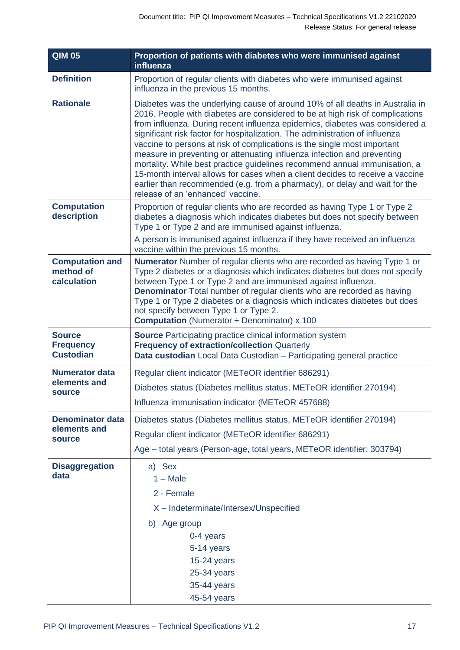| <b>QIM 05</b>                                         | Proportion of patients with diabetes who were immunised against<br>influenza                                                                                                                                                                                                                                                                                                                                                                                                                                                                                                                                                                                                                                                                                            |
|-------------------------------------------------------|-------------------------------------------------------------------------------------------------------------------------------------------------------------------------------------------------------------------------------------------------------------------------------------------------------------------------------------------------------------------------------------------------------------------------------------------------------------------------------------------------------------------------------------------------------------------------------------------------------------------------------------------------------------------------------------------------------------------------------------------------------------------------|
| <b>Definition</b>                                     | Proportion of regular clients with diabetes who were immunised against<br>influenza in the previous 15 months.                                                                                                                                                                                                                                                                                                                                                                                                                                                                                                                                                                                                                                                          |
| <b>Rationale</b>                                      | Diabetes was the underlying cause of around 10% of all deaths in Australia in<br>2016. People with diabetes are considered to be at high risk of complications<br>from influenza. During recent influenza epidemics, diabetes was considered a<br>significant risk factor for hospitalization. The administration of influenza<br>vaccine to persons at risk of complications is the single most important<br>measure in preventing or attenuating influenza infection and preventing<br>mortality. While best practice guidelines recommend annual immunisation, a<br>15-month interval allows for cases when a client decides to receive a vaccine<br>earlier than recommended (e.g. from a pharmacy), or delay and wait for the<br>release of an 'enhanced' vaccine. |
| <b>Computation</b><br>description                     | Proportion of regular clients who are recorded as having Type 1 or Type 2<br>diabetes a diagnosis which indicates diabetes but does not specify between<br>Type 1 or Type 2 and are immunised against influenza.<br>A person is immunised against influenza if they have received an influenza<br>vaccine within the previous 15 months.                                                                                                                                                                                                                                                                                                                                                                                                                                |
| <b>Computation and</b><br>method of<br>calculation    | <b>Numerator</b> Number of regular clients who are recorded as having Type 1 or<br>Type 2 diabetes or a diagnosis which indicates diabetes but does not specify<br>between Type 1 or Type 2 and are immunised against influenza.<br><b>Denominator</b> Total number of regular clients who are recorded as having<br>Type 1 or Type 2 diabetes or a diagnosis which indicates diabetes but does<br>not specify between Type 1 or Type 2.<br><b>Computation</b> (Numerator $\div$ Denominator) x 100                                                                                                                                                                                                                                                                     |
| <b>Source</b><br><b>Frequency</b><br><b>Custodian</b> | <b>Source</b> Participating practice clinical information system<br><b>Frequency of extraction/collection Quarterly</b><br>Data custodian Local Data Custodian - Participating general practice                                                                                                                                                                                                                                                                                                                                                                                                                                                                                                                                                                         |
| <b>Numerator data</b><br>elements and<br>source       | Regular client indicator (METeOR identifier 686291)<br>Diabetes status (Diabetes mellitus status, METeOR identifier 270194)<br>Influenza immunisation indicator (METeOR 457688)                                                                                                                                                                                                                                                                                                                                                                                                                                                                                                                                                                                         |
| <b>Denominator data</b><br>elements and<br>source     | Diabetes status (Diabetes mellitus status, METeOR identifier 270194)<br>Regular client indicator (METeOR identifier 686291)<br>Age - total years (Person-age, total years, METeOR identifier: 303794)                                                                                                                                                                                                                                                                                                                                                                                                                                                                                                                                                                   |
| <b>Disaggregation</b><br>data                         | a) Sex<br>$1 - Male$<br>2 - Female<br>X - Indeterminate/Intersex/Unspecified<br>b) Age group<br>0-4 years<br>5-14 years<br>15-24 years<br>25-34 years<br>35-44 years<br>45-54 years                                                                                                                                                                                                                                                                                                                                                                                                                                                                                                                                                                                     |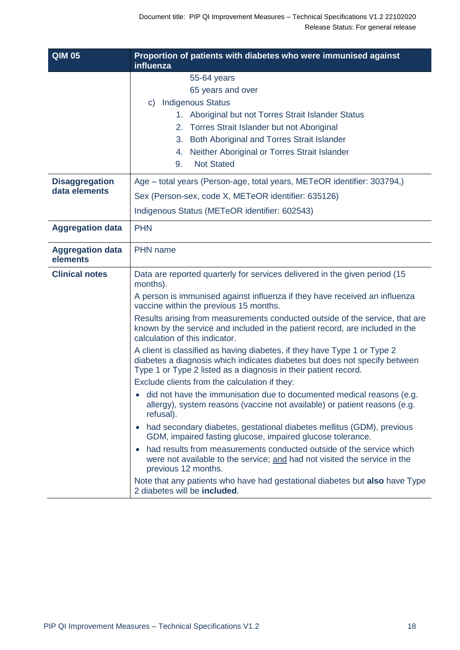| <b>QIM 05</b>                          | Proportion of patients with diabetes who were immunised against<br>influenza                                                                                                                                                                                                                                                                                                                                                                                                                                                                                                                                                                                                                                                                                                                                                                                                                                                                                                                                                                                                                                                                                                                                                                                                                                                  |
|----------------------------------------|-------------------------------------------------------------------------------------------------------------------------------------------------------------------------------------------------------------------------------------------------------------------------------------------------------------------------------------------------------------------------------------------------------------------------------------------------------------------------------------------------------------------------------------------------------------------------------------------------------------------------------------------------------------------------------------------------------------------------------------------------------------------------------------------------------------------------------------------------------------------------------------------------------------------------------------------------------------------------------------------------------------------------------------------------------------------------------------------------------------------------------------------------------------------------------------------------------------------------------------------------------------------------------------------------------------------------------|
|                                        | 55-64 years<br>65 years and over<br><b>Indigenous Status</b><br>C)<br>1. Aboriginal but not Torres Strait Islander Status<br>2. Torres Strait Islander but not Aboriginal<br>Both Aboriginal and Torres Strait Islander<br>3.<br>Neither Aboriginal or Torres Strait Islander<br>4.<br><b>Not Stated</b><br>9.                                                                                                                                                                                                                                                                                                                                                                                                                                                                                                                                                                                                                                                                                                                                                                                                                                                                                                                                                                                                                |
| <b>Disaggregation</b><br>data elements | Age – total years (Person-age, total years, METeOR identifier: 303794,)<br>Sex (Person-sex, code X, METeOR identifier: 635126)<br>Indigenous Status (METeOR identifier: 602543)                                                                                                                                                                                                                                                                                                                                                                                                                                                                                                                                                                                                                                                                                                                                                                                                                                                                                                                                                                                                                                                                                                                                               |
| <b>Aggregation data</b>                | <b>PHN</b>                                                                                                                                                                                                                                                                                                                                                                                                                                                                                                                                                                                                                                                                                                                                                                                                                                                                                                                                                                                                                                                                                                                                                                                                                                                                                                                    |
| <b>Aggregation data</b><br>elements    | PHN name                                                                                                                                                                                                                                                                                                                                                                                                                                                                                                                                                                                                                                                                                                                                                                                                                                                                                                                                                                                                                                                                                                                                                                                                                                                                                                                      |
| <b>Clinical notes</b>                  | Data are reported quarterly for services delivered in the given period (15<br>months).<br>A person is immunised against influenza if they have received an influenza<br>vaccine within the previous 15 months.<br>Results arising from measurements conducted outside of the service, that are<br>known by the service and included in the patient record, are included in the<br>calculation of this indicator.<br>A client is classified as having diabetes, if they have Type 1 or Type 2<br>diabetes a diagnosis which indicates diabetes but does not specify between<br>Type 1 or Type 2 listed as a diagnosis in their patient record.<br>Exclude clients from the calculation if they:<br>did not have the immunisation due to documented medical reasons (e.g.<br>allergy), system reasons (vaccine not available) or patient reasons (e.g.<br>refusal).<br>had secondary diabetes, gestational diabetes mellitus (GDM), previous<br>$\bullet$<br>GDM, impaired fasting glucose, impaired glucose tolerance.<br>had results from measurements conducted outside of the service which<br>$\bullet$<br>were not available to the service; and had not visited the service in the<br>previous 12 months.<br>Note that any patients who have had gestational diabetes but also have Type<br>2 diabetes will be included. |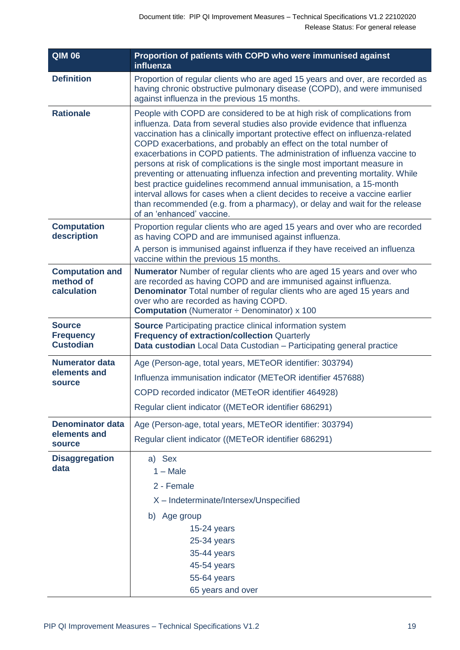| <b>QIM 06</b>                                         | Proportion of patients with COPD who were immunised against<br>influenza                                                                                                                                                                                                                                                                                                                                                                                                                                                                                                                                                                                                                                                                                                                                                |
|-------------------------------------------------------|-------------------------------------------------------------------------------------------------------------------------------------------------------------------------------------------------------------------------------------------------------------------------------------------------------------------------------------------------------------------------------------------------------------------------------------------------------------------------------------------------------------------------------------------------------------------------------------------------------------------------------------------------------------------------------------------------------------------------------------------------------------------------------------------------------------------------|
| <b>Definition</b>                                     | Proportion of regular clients who are aged 15 years and over, are recorded as<br>having chronic obstructive pulmonary disease (COPD), and were immunised<br>against influenza in the previous 15 months.                                                                                                                                                                                                                                                                                                                                                                                                                                                                                                                                                                                                                |
| <b>Rationale</b>                                      | People with COPD are considered to be at high risk of complications from<br>influenza. Data from several studies also provide evidence that influenza<br>vaccination has a clinically important protective effect on influenza-related<br>COPD exacerbations, and probably an effect on the total number of<br>exacerbations in COPD patients. The administration of influenza vaccine to<br>persons at risk of complications is the single most important measure in<br>preventing or attenuating influenza infection and preventing mortality. While<br>best practice guidelines recommend annual immunisation, a 15-month<br>interval allows for cases when a client decides to receive a vaccine earlier<br>than recommended (e.g. from a pharmacy), or delay and wait for the release<br>of an 'enhanced' vaccine. |
| <b>Computation</b><br>description                     | Proportion regular clients who are aged 15 years and over who are recorded<br>as having COPD and are immunised against influenza.<br>A person is immunised against influenza if they have received an influenza                                                                                                                                                                                                                                                                                                                                                                                                                                                                                                                                                                                                         |
|                                                       | vaccine within the previous 15 months.                                                                                                                                                                                                                                                                                                                                                                                                                                                                                                                                                                                                                                                                                                                                                                                  |
| <b>Computation and</b><br>method of<br>calculation    | <b>Numerator</b> Number of regular clients who are aged 15 years and over who<br>are recorded as having COPD and are immunised against influenza.<br><b>Denominator</b> Total number of regular clients who are aged 15 years and<br>over who are recorded as having COPD.<br><b>Computation</b> (Numerator $\div$ Denominator) x 100                                                                                                                                                                                                                                                                                                                                                                                                                                                                                   |
| <b>Source</b><br><b>Frequency</b><br><b>Custodian</b> | <b>Source</b> Participating practice clinical information system<br><b>Frequency of extraction/collection Quarterly</b><br>Data custodian Local Data Custodian - Participating general practice                                                                                                                                                                                                                                                                                                                                                                                                                                                                                                                                                                                                                         |
| <b>Numerator data</b>                                 | Age (Person-age, total years, METeOR identifier: 303794)                                                                                                                                                                                                                                                                                                                                                                                                                                                                                                                                                                                                                                                                                                                                                                |
| elements and<br>source                                | Influenza immunisation indicator (METeOR identifier 457688)                                                                                                                                                                                                                                                                                                                                                                                                                                                                                                                                                                                                                                                                                                                                                             |
|                                                       | COPD recorded indicator (METeOR identifier 464928)                                                                                                                                                                                                                                                                                                                                                                                                                                                                                                                                                                                                                                                                                                                                                                      |
|                                                       | Regular client indicator ((METeOR identifier 686291)                                                                                                                                                                                                                                                                                                                                                                                                                                                                                                                                                                                                                                                                                                                                                                    |
| <b>Denominator data</b>                               | Age (Person-age, total years, METeOR identifier: 303794)                                                                                                                                                                                                                                                                                                                                                                                                                                                                                                                                                                                                                                                                                                                                                                |
| elements and<br>source                                | Regular client indicator ((METeOR identifier 686291)                                                                                                                                                                                                                                                                                                                                                                                                                                                                                                                                                                                                                                                                                                                                                                    |
| <b>Disaggregation</b><br>data                         | a) Sex<br>$1 - Male$<br>2 - Female<br>X - Indeterminate/Intersex/Unspecified<br>b) Age group<br>$15-24$ years<br>25-34 years<br>35-44 years<br>45-54 years<br>55-64 years<br>65 years and over                                                                                                                                                                                                                                                                                                                                                                                                                                                                                                                                                                                                                          |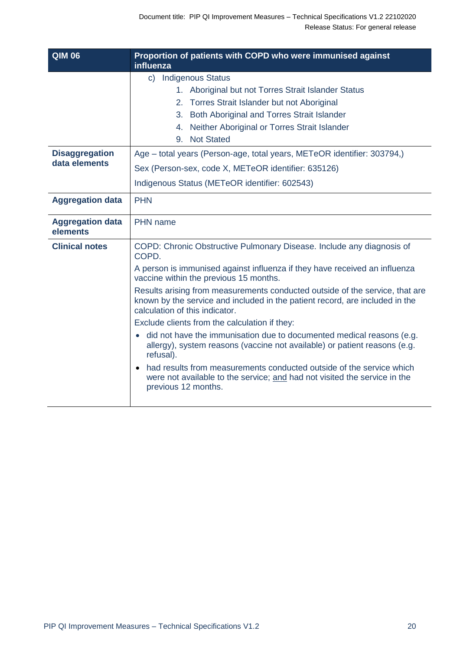| <b>QIM 06</b>                          | Proportion of patients with COPD who were immunised against<br>influenza                                                                                                                                                                            |
|----------------------------------------|-----------------------------------------------------------------------------------------------------------------------------------------------------------------------------------------------------------------------------------------------------|
|                                        | c) Indigenous Status<br>1. Aboriginal but not Torres Strait Islander Status<br>2. Torres Strait Islander but not Aboriginal<br>3. Both Aboriginal and Torres Strait Islander<br>Neither Aboriginal or Torres Strait Islander<br>4.<br>9. Not Stated |
| <b>Disaggregation</b><br>data elements | Age – total years (Person-age, total years, METeOR identifier: 303794,)<br>Sex (Person-sex, code X, METeOR identifier: 635126)<br>Indigenous Status (METeOR identifier: 602543)                                                                     |
| <b>Aggregation data</b>                | <b>PHN</b>                                                                                                                                                                                                                                          |
| <b>Aggregation data</b><br>elements    | <b>PHN</b> name                                                                                                                                                                                                                                     |
| <b>Clinical notes</b>                  | COPD: Chronic Obstructive Pulmonary Disease. Include any diagnosis of<br>COPD.<br>A person is immunised against influenza if they have received an influenza<br>vaccine within the previous 15 months.                                              |
|                                        | Results arising from measurements conducted outside of the service, that are<br>known by the service and included in the patient record, are included in the<br>calculation of this indicator.<br>Exclude clients from the calculation if they:     |
|                                        | • did not have the immunisation due to documented medical reasons (e.g.<br>allergy), system reasons (vaccine not available) or patient reasons (e.g.<br>refusal).                                                                                   |
|                                        | had results from measurements conducted outside of the service which<br>were not available to the service; and had not visited the service in the<br>previous 12 months.                                                                            |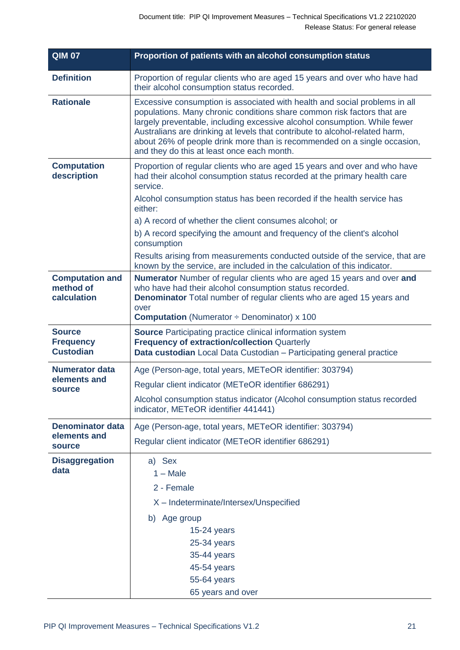| <b>QIM 07</b>                                         | Proportion of patients with an alcohol consumption status                                                                                                                                                                                                                                                                                                                                                                                   |
|-------------------------------------------------------|---------------------------------------------------------------------------------------------------------------------------------------------------------------------------------------------------------------------------------------------------------------------------------------------------------------------------------------------------------------------------------------------------------------------------------------------|
| <b>Definition</b>                                     | Proportion of regular clients who are aged 15 years and over who have had<br>their alcohol consumption status recorded.                                                                                                                                                                                                                                                                                                                     |
| <b>Rationale</b>                                      | Excessive consumption is associated with health and social problems in all<br>populations. Many chronic conditions share common risk factors that are<br>largely preventable, including excessive alcohol consumption. While fewer<br>Australians are drinking at levels that contribute to alcohol-related harm,<br>about 26% of people drink more than is recommended on a single occasion,<br>and they do this at least once each month. |
| <b>Computation</b><br>description                     | Proportion of regular clients who are aged 15 years and over and who have<br>had their alcohol consumption status recorded at the primary health care<br>service.                                                                                                                                                                                                                                                                           |
|                                                       | Alcohol consumption status has been recorded if the health service has<br>either:                                                                                                                                                                                                                                                                                                                                                           |
|                                                       | a) A record of whether the client consumes alcohol; or                                                                                                                                                                                                                                                                                                                                                                                      |
|                                                       | b) A record specifying the amount and frequency of the client's alcohol<br>consumption                                                                                                                                                                                                                                                                                                                                                      |
|                                                       | Results arising from measurements conducted outside of the service, that are<br>known by the service, are included in the calculation of this indicator.                                                                                                                                                                                                                                                                                    |
| <b>Computation and</b><br>method of<br>calculation    | Numerator Number of regular clients who are aged 15 years and over and<br>who have had their alcohol consumption status recorded.<br><b>Denominator</b> Total number of regular clients who are aged 15 years and<br>over<br><b>Computation</b> (Numerator $\div$ Denominator) x 100                                                                                                                                                        |
| <b>Source</b><br><b>Frequency</b><br><b>Custodian</b> | <b>Source</b> Participating practice clinical information system<br><b>Frequency of extraction/collection Quarterly</b><br>Data custodian Local Data Custodian - Participating general practice                                                                                                                                                                                                                                             |
| <b>Numerator data</b>                                 | Age (Person-age, total years, METeOR identifier: 303794)                                                                                                                                                                                                                                                                                                                                                                                    |
| elements and<br><b>source</b>                         | Regular client indicator (METeOR identifier 686291)                                                                                                                                                                                                                                                                                                                                                                                         |
|                                                       | Alcohol consumption status indicator (Alcohol consumption status recorded<br>indicator, METeOR identifier 441441)                                                                                                                                                                                                                                                                                                                           |
| <b>Denominator data</b>                               | Age (Person-age, total years, METeOR identifier: 303794)                                                                                                                                                                                                                                                                                                                                                                                    |
| elements and<br>source                                | Regular client indicator (METeOR identifier 686291)                                                                                                                                                                                                                                                                                                                                                                                         |
| <b>Disaggregation</b><br>data                         | a) Sex<br>$1 - Male$<br>2 - Female<br>X - Indeterminate/Intersex/Unspecified<br>b) Age group<br>$15-24$ years                                                                                                                                                                                                                                                                                                                               |
|                                                       | 25-34 years<br>35-44 years<br>45-54 years<br>55-64 years<br>65 years and over                                                                                                                                                                                                                                                                                                                                                               |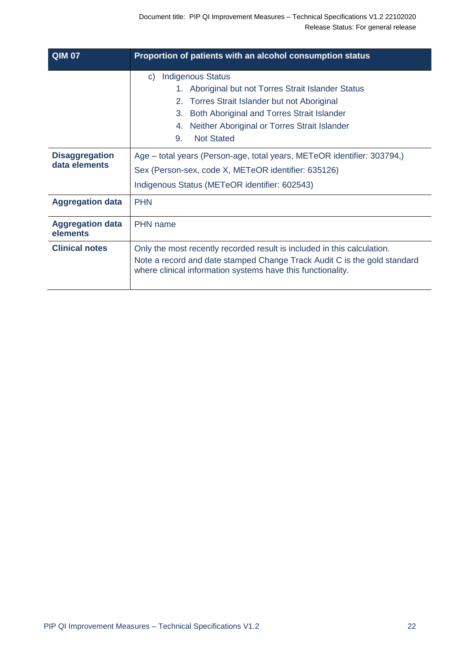| <b>QIM 07</b>                          | Proportion of patients with an alcohol consumption status                                                                                                                                                                                                                                           |
|----------------------------------------|-----------------------------------------------------------------------------------------------------------------------------------------------------------------------------------------------------------------------------------------------------------------------------------------------------|
|                                        | <b>Indigenous Status</b><br>$\mathsf{C}$<br>1. Aboriginal but not Torres Strait Islander Status<br>Torres Strait Islander but not Aboriginal<br>2 <sup>1</sup><br>Both Aboriginal and Torres Strait Islander<br>3.<br>Neither Aboriginal or Torres Strait Islander<br>4.<br>9.<br><b>Not Stated</b> |
| <b>Disaggregation</b><br>data elements | Age – total years (Person-age, total years, METeOR identifier: 303794,)<br>Sex (Person-sex, code X, METeOR identifier: 635126)<br>Indigenous Status (METeOR identifier: 602543)                                                                                                                     |
| <b>Aggregation data</b>                | <b>PHN</b>                                                                                                                                                                                                                                                                                          |
| <b>Aggregation data</b><br>elements    | <b>PHN</b> name                                                                                                                                                                                                                                                                                     |
| <b>Clinical notes</b>                  | Only the most recently recorded result is included in this calculation.<br>Note a record and date stamped Change Track Audit C is the gold standard<br>where clinical information systems have this functionality.                                                                                  |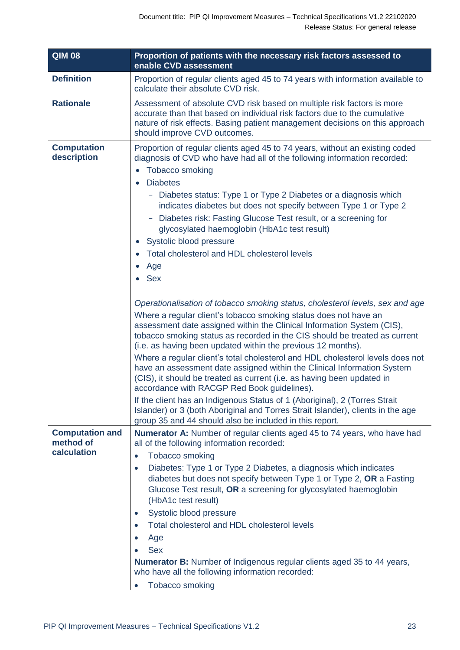| <b>QIM 08</b>                                      | Proportion of patients with the necessary risk factors assessed to<br>enable CVD assessment                                                                                                                                                                                                                                                                                                                                                                                                                                                                                                                                                                                                                                                                                                                                                                                                                                                                                                                                                                                                                                                                                                                                                                                                                                                                                                                                                                         |
|----------------------------------------------------|---------------------------------------------------------------------------------------------------------------------------------------------------------------------------------------------------------------------------------------------------------------------------------------------------------------------------------------------------------------------------------------------------------------------------------------------------------------------------------------------------------------------------------------------------------------------------------------------------------------------------------------------------------------------------------------------------------------------------------------------------------------------------------------------------------------------------------------------------------------------------------------------------------------------------------------------------------------------------------------------------------------------------------------------------------------------------------------------------------------------------------------------------------------------------------------------------------------------------------------------------------------------------------------------------------------------------------------------------------------------------------------------------------------------------------------------------------------------|
| <b>Definition</b>                                  | Proportion of regular clients aged 45 to 74 years with information available to<br>calculate their absolute CVD risk.                                                                                                                                                                                                                                                                                                                                                                                                                                                                                                                                                                                                                                                                                                                                                                                                                                                                                                                                                                                                                                                                                                                                                                                                                                                                                                                                               |
| <b>Rationale</b>                                   | Assessment of absolute CVD risk based on multiple risk factors is more<br>accurate than that based on individual risk factors due to the cumulative<br>nature of risk effects. Basing patient management decisions on this approach<br>should improve CVD outcomes.                                                                                                                                                                                                                                                                                                                                                                                                                                                                                                                                                                                                                                                                                                                                                                                                                                                                                                                                                                                                                                                                                                                                                                                                 |
| <b>Computation</b><br>description                  | Proportion of regular clients aged 45 to 74 years, without an existing coded<br>diagnosis of CVD who have had all of the following information recorded:<br><b>Tobacco smoking</b><br>$\bullet$<br><b>Diabetes</b><br>$\bullet$<br>Diabetes status: Type 1 or Type 2 Diabetes or a diagnosis which<br>indicates diabetes but does not specify between Type 1 or Type 2<br>Diabetes risk: Fasting Glucose Test result, or a screening for<br>glycosylated haemoglobin (HbA1c test result)<br>Systolic blood pressure<br>$\bullet$<br>Total cholesterol and HDL cholesterol levels<br>Age<br>$\bullet$<br><b>Sex</b><br>$\bullet$<br>Operationalisation of tobacco smoking status, cholesterol levels, sex and age<br>Where a regular client's tobacco smoking status does not have an<br>assessment date assigned within the Clinical Information System (CIS),<br>tobacco smoking status as recorded in the CIS should be treated as current<br>(i.e. as having been updated within the previous 12 months).<br>Where a regular client's total cholesterol and HDL cholesterol levels does not<br>have an assessment date assigned within the Clinical Information System<br>(CIS), it should be treated as current (i.e. as having been updated in<br>accordance with RACGP Red Book guidelines).<br>If the client has an Indigenous Status of 1 (Aboriginal), 2 (Torres Strait<br>Islander) or 3 (both Aboriginal and Torres Strait Islander), clients in the age |
| <b>Computation and</b><br>method of<br>calculation | group 35 and 44 should also be included in this report.<br><b>Numerator A:</b> Number of regular clients aged 45 to 74 years, who have had<br>all of the following information recorded:<br>Tobacco smoking<br>$\bullet$<br>Diabetes: Type 1 or Type 2 Diabetes, a diagnosis which indicates<br>$\bullet$<br>diabetes but does not specify between Type 1 or Type 2, OR a Fasting<br>Glucose Test result, OR a screening for glycosylated haemoglobin<br>(HbA1c test result)<br>Systolic blood pressure<br>$\bullet$<br>Total cholesterol and HDL cholesterol levels<br>$\bullet$<br>Age<br>$\bullet$<br><b>Sex</b><br><b>Numerator B:</b> Number of Indigenous regular clients aged 35 to 44 years,<br>who have all the following information recorded:<br>Tobacco smoking<br>$\bullet$                                                                                                                                                                                                                                                                                                                                                                                                                                                                                                                                                                                                                                                                            |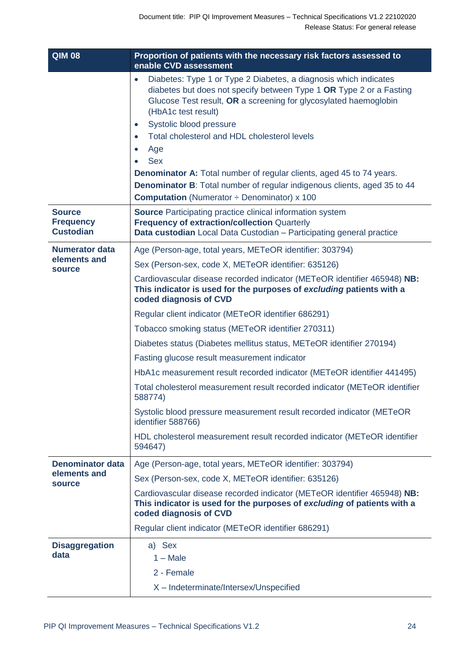| <b>QIM 08</b>                                         | Proportion of patients with the necessary risk factors assessed to<br>enable CVD assessment                                                                                                                                                                                                                                                                                                                                                                                                                                    |
|-------------------------------------------------------|--------------------------------------------------------------------------------------------------------------------------------------------------------------------------------------------------------------------------------------------------------------------------------------------------------------------------------------------------------------------------------------------------------------------------------------------------------------------------------------------------------------------------------|
|                                                       | Diabetes: Type 1 or Type 2 Diabetes, a diagnosis which indicates<br>$\bullet$<br>diabetes but does not specify between Type 1 OR Type 2 or a Fasting<br>Glucose Test result, OR a screening for glycosylated haemoglobin<br>(HbA1c test result)<br>Systolic blood pressure<br>$\bullet$<br>Total cholesterol and HDL cholesterol levels<br>Age<br><b>Sex</b><br><b>Denominator A:</b> Total number of regular clients, aged 45 to 74 years.<br><b>Denominator B:</b> Total number of regular indigenous clients, aged 35 to 44 |
|                                                       | <b>Computation</b> (Numerator $\div$ Denominator) x 100                                                                                                                                                                                                                                                                                                                                                                                                                                                                        |
| <b>Source</b><br><b>Frequency</b><br><b>Custodian</b> | <b>Source</b> Participating practice clinical information system<br><b>Frequency of extraction/collection Quarterly</b><br>Data custodian Local Data Custodian - Participating general practice                                                                                                                                                                                                                                                                                                                                |
| <b>Numerator data</b>                                 | Age (Person-age, total years, METeOR identifier: 303794)                                                                                                                                                                                                                                                                                                                                                                                                                                                                       |
| elements and<br><b>source</b>                         | Sex (Person-sex, code X, METeOR identifier: 635126)                                                                                                                                                                                                                                                                                                                                                                                                                                                                            |
|                                                       | Cardiovascular disease recorded indicator (METeOR identifier 465948) NB:<br>This indicator is used for the purposes of excluding patients with a<br>coded diagnosis of CVD                                                                                                                                                                                                                                                                                                                                                     |
|                                                       | Regular client indicator (METeOR identifier 686291)                                                                                                                                                                                                                                                                                                                                                                                                                                                                            |
|                                                       | Tobacco smoking status (METeOR identifier 270311)                                                                                                                                                                                                                                                                                                                                                                                                                                                                              |
|                                                       | Diabetes status (Diabetes mellitus status, METeOR identifier 270194)                                                                                                                                                                                                                                                                                                                                                                                                                                                           |
|                                                       | Fasting glucose result measurement indicator                                                                                                                                                                                                                                                                                                                                                                                                                                                                                   |
|                                                       | HbA1c measurement result recorded indicator (METeOR identifier 441495)                                                                                                                                                                                                                                                                                                                                                                                                                                                         |
|                                                       | Total cholesterol measurement result recorded indicator (METeOR identifier<br>588774)                                                                                                                                                                                                                                                                                                                                                                                                                                          |
|                                                       | Systolic blood pressure measurement result recorded indicator (METeOR<br>identifier 588766)                                                                                                                                                                                                                                                                                                                                                                                                                                    |
|                                                       | HDL cholesterol measurement result recorded indicator (METeOR identifier<br>594647)                                                                                                                                                                                                                                                                                                                                                                                                                                            |
| <b>Denominator data</b>                               | Age (Person-age, total years, METeOR identifier: 303794)                                                                                                                                                                                                                                                                                                                                                                                                                                                                       |
| elements and                                          | Sex (Person-sex, code X, METeOR identifier: 635126)                                                                                                                                                                                                                                                                                                                                                                                                                                                                            |
| <b>source</b>                                         | Cardiovascular disease recorded indicator (METeOR identifier 465948) NB:<br>This indicator is used for the purposes of excluding of patients with a<br>coded diagnosis of CVD                                                                                                                                                                                                                                                                                                                                                  |
|                                                       | Regular client indicator (METeOR identifier 686291)                                                                                                                                                                                                                                                                                                                                                                                                                                                                            |
| <b>Disaggregation</b><br>data                         | a) Sex<br>$1 - Male$<br>2 - Female                                                                                                                                                                                                                                                                                                                                                                                                                                                                                             |
|                                                       | X - Indeterminate/Intersex/Unspecified                                                                                                                                                                                                                                                                                                                                                                                                                                                                                         |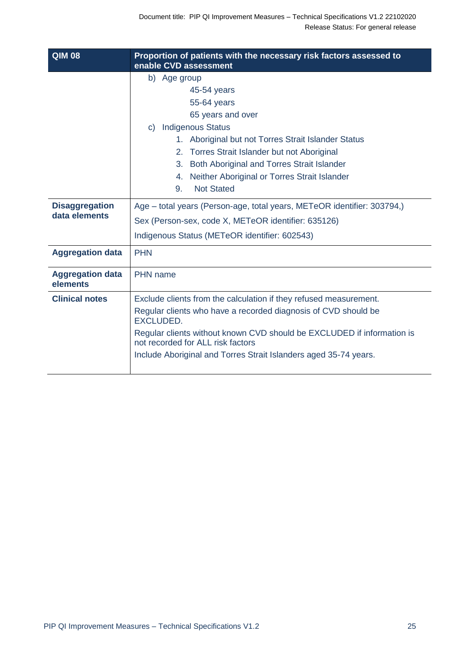| $\overline{Q}$ IM 08                   | Proportion of patients with the necessary risk factors assessed to<br>enable CVD assessment                 |
|----------------------------------------|-------------------------------------------------------------------------------------------------------------|
|                                        | b) Age group                                                                                                |
|                                        | 45-54 years                                                                                                 |
|                                        | 55-64 years                                                                                                 |
|                                        | 65 years and over                                                                                           |
|                                        | <b>Indigenous Status</b><br>C)                                                                              |
|                                        | 1. Aboriginal but not Torres Strait Islander Status                                                         |
|                                        | 2. Torres Strait Islander but not Aboriginal                                                                |
|                                        | Both Aboriginal and Torres Strait Islander<br>3.                                                            |
|                                        | Neither Aboriginal or Torres Strait Islander<br>4.                                                          |
|                                        | <b>Not Stated</b><br>9.                                                                                     |
| <b>Disaggregation</b><br>data elements | Age – total years (Person-age, total years, METeOR identifier: 303794,)                                     |
|                                        | Sex (Person-sex, code X, METeOR identifier: 635126)                                                         |
|                                        | Indigenous Status (METeOR identifier: 602543)                                                               |
| <b>Aggregation data</b>                | <b>PHN</b>                                                                                                  |
| <b>Aggregation data</b><br>elements    | PHN name                                                                                                    |
| <b>Clinical notes</b>                  | Exclude clients from the calculation if they refused measurement.                                           |
|                                        | Regular clients who have a recorded diagnosis of CVD should be<br><b>EXCLUDED.</b>                          |
|                                        | Regular clients without known CVD should be EXCLUDED if information is<br>not recorded for ALL risk factors |
|                                        | Include Aboriginal and Torres Strait Islanders aged 35-74 years.                                            |
|                                        |                                                                                                             |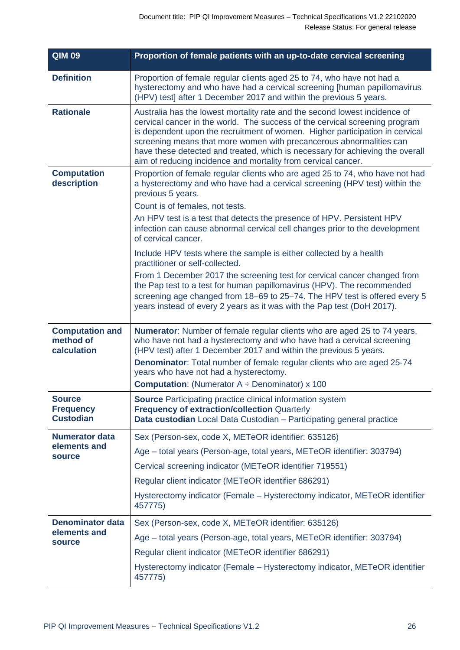| <b>QIM 09</b>                                            | Proportion of female patients with an up-to-date cervical screening                                                                                                                                                                                                                                                                                                                                                                                                |
|----------------------------------------------------------|--------------------------------------------------------------------------------------------------------------------------------------------------------------------------------------------------------------------------------------------------------------------------------------------------------------------------------------------------------------------------------------------------------------------------------------------------------------------|
| <b>Definition</b>                                        | Proportion of female regular clients aged 25 to 74, who have not had a<br>hysterectomy and who have had a cervical screening [human papillomavirus<br>(HPV) test] after 1 December 2017 and within the previous 5 years.                                                                                                                                                                                                                                           |
| <b>Rationale</b>                                         | Australia has the lowest mortality rate and the second lowest incidence of<br>cervical cancer in the world. The success of the cervical screening program<br>is dependent upon the recruitment of women. Higher participation in cervical<br>screening means that more women with precancerous abnormalities can<br>have these detected and treated, which is necessary for achieving the overall<br>aim of reducing incidence and mortality from cervical cancer. |
| <b>Computation</b><br>description                        | Proportion of female regular clients who are aged 25 to 74, who have not had<br>a hysterectomy and who have had a cervical screening (HPV test) within the<br>previous 5 years.<br>Count is of females, not tests.                                                                                                                                                                                                                                                 |
|                                                          | An HPV test is a test that detects the presence of HPV. Persistent HPV<br>infection can cause abnormal cervical cell changes prior to the development<br>of cervical cancer.                                                                                                                                                                                                                                                                                       |
|                                                          | Include HPV tests where the sample is either collected by a health<br>practitioner or self-collected.                                                                                                                                                                                                                                                                                                                                                              |
|                                                          | From 1 December 2017 the screening test for cervical cancer changed from<br>the Pap test to a test for human papillomavirus (HPV). The recommended<br>screening age changed from 18-69 to 25-74. The HPV test is offered every 5<br>years instead of every 2 years as it was with the Pap test (DoH 2017).                                                                                                                                                         |
| <b>Computation and</b><br>method of<br>calculation       | <b>Numerator:</b> Number of female regular clients who are aged 25 to 74 years,<br>who have not had a hysterectomy and who have had a cervical screening<br>(HPV test) after 1 December 2017 and within the previous 5 years.                                                                                                                                                                                                                                      |
|                                                          | <b>Denominator:</b> Total number of female regular clients who are aged 25-74<br>years who have not had a hysterectomy.                                                                                                                                                                                                                                                                                                                                            |
|                                                          | <b>Computation:</b> (Numerator $A \div$ Denominator) x 100                                                                                                                                                                                                                                                                                                                                                                                                         |
| <b>Source</b><br><b>Frequency</b><br><b>Custodian</b>    | <b>Source</b> Participating practice clinical information system<br><b>Frequency of extraction/collection Quarterly</b><br>Data custodian Local Data Custodian - Participating general practice                                                                                                                                                                                                                                                                    |
| <b>Numerator data</b>                                    | Sex (Person-sex, code X, METeOR identifier: 635126)                                                                                                                                                                                                                                                                                                                                                                                                                |
| elements and<br><b>source</b>                            | Age - total years (Person-age, total years, METeOR identifier: 303794)                                                                                                                                                                                                                                                                                                                                                                                             |
|                                                          | Cervical screening indicator (METeOR identifier 719551)                                                                                                                                                                                                                                                                                                                                                                                                            |
|                                                          | Regular client indicator (METeOR identifier 686291)                                                                                                                                                                                                                                                                                                                                                                                                                |
|                                                          | Hysterectomy indicator (Female – Hysterectomy indicator, METeOR identifier<br>457775)                                                                                                                                                                                                                                                                                                                                                                              |
| <b>Denominator data</b><br>elements and<br><b>source</b> | Sex (Person-sex, code X, METeOR identifier: 635126)                                                                                                                                                                                                                                                                                                                                                                                                                |
|                                                          | Age - total years (Person-age, total years, METeOR identifier: 303794)                                                                                                                                                                                                                                                                                                                                                                                             |
|                                                          | Regular client indicator (METeOR identifier 686291)                                                                                                                                                                                                                                                                                                                                                                                                                |
|                                                          | Hysterectomy indicator (Female – Hysterectomy indicator, METeOR identifier<br>457775)                                                                                                                                                                                                                                                                                                                                                                              |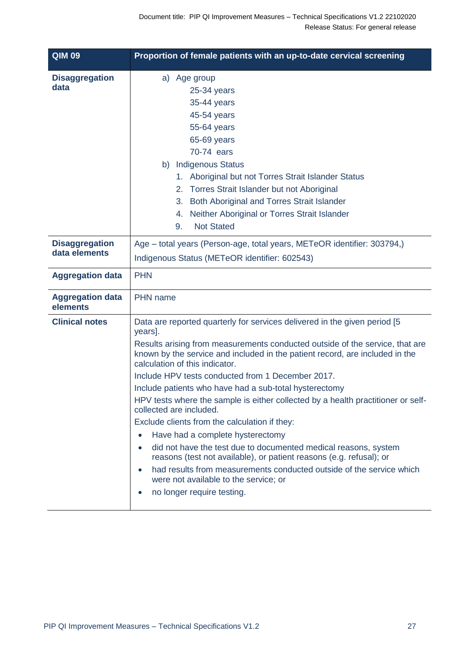| <b>QIM 09</b>                          | Proportion of female patients with an up-to-date cervical screening                                                                                                                                                                                                                                                                                                                                                                                                                                                                                                                                                                                                                                                                                                                                                                                                                                |
|----------------------------------------|----------------------------------------------------------------------------------------------------------------------------------------------------------------------------------------------------------------------------------------------------------------------------------------------------------------------------------------------------------------------------------------------------------------------------------------------------------------------------------------------------------------------------------------------------------------------------------------------------------------------------------------------------------------------------------------------------------------------------------------------------------------------------------------------------------------------------------------------------------------------------------------------------|
| <b>Disaggregation</b><br>data          | a) Age group<br>$25-34$ years<br>35-44 years<br>45-54 years<br>55-64 years<br>65-69 years<br>70-74 ears<br>b) Indigenous Status<br>1. Aboriginal but not Torres Strait Islander Status<br>2. Torres Strait Islander but not Aboriginal<br>Both Aboriginal and Torres Strait Islander<br>3.<br>Neither Aboriginal or Torres Strait Islander<br>4.<br><b>Not Stated</b><br>9.                                                                                                                                                                                                                                                                                                                                                                                                                                                                                                                        |
| <b>Disaggregation</b><br>data elements | Age – total years (Person-age, total years, METeOR identifier: 303794,)<br>Indigenous Status (METeOR identifier: 602543)                                                                                                                                                                                                                                                                                                                                                                                                                                                                                                                                                                                                                                                                                                                                                                           |
| <b>Aggregation data</b>                | <b>PHN</b>                                                                                                                                                                                                                                                                                                                                                                                                                                                                                                                                                                                                                                                                                                                                                                                                                                                                                         |
| <b>Aggregation data</b><br>elements    | <b>PHN</b> name                                                                                                                                                                                                                                                                                                                                                                                                                                                                                                                                                                                                                                                                                                                                                                                                                                                                                    |
| <b>Clinical notes</b>                  | Data are reported quarterly for services delivered in the given period [5<br>years].<br>Results arising from measurements conducted outside of the service, that are<br>known by the service and included in the patient record, are included in the<br>calculation of this indicator.<br>Include HPV tests conducted from 1 December 2017.<br>Include patients who have had a sub-total hysterectomy<br>HPV tests where the sample is either collected by a health practitioner or self-<br>collected are included.<br>Exclude clients from the calculation if they:<br>Have had a complete hysterectomy<br>did not have the test due to documented medical reasons, system<br>reasons (test not available), or patient reasons (e.g. refusal); or<br>had results from measurements conducted outside of the service which<br>were not available to the service; or<br>no longer require testing. |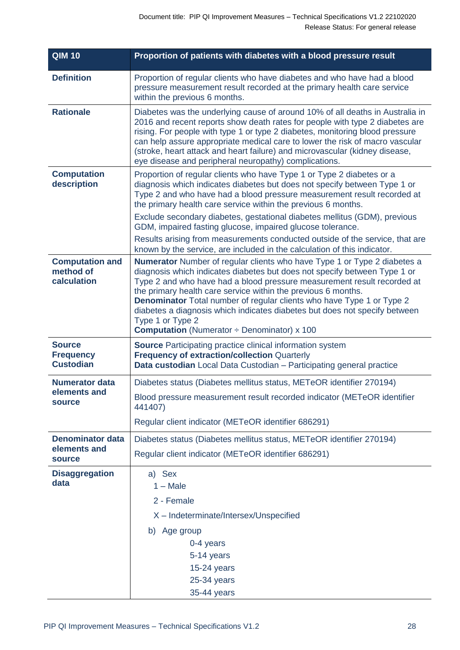| <b>QIM 10</b>                                          | Proportion of patients with diabetes with a blood pressure result                                                                                                                                                                                                                                                                                                                                                                                                                                                                              |
|--------------------------------------------------------|------------------------------------------------------------------------------------------------------------------------------------------------------------------------------------------------------------------------------------------------------------------------------------------------------------------------------------------------------------------------------------------------------------------------------------------------------------------------------------------------------------------------------------------------|
| <b>Definition</b>                                      | Proportion of regular clients who have diabetes and who have had a blood<br>pressure measurement result recorded at the primary health care service<br>within the previous 6 months.                                                                                                                                                                                                                                                                                                                                                           |
| <b>Rationale</b>                                       | Diabetes was the underlying cause of around 10% of all deaths in Australia in<br>2016 and recent reports show death rates for people with type 2 diabetes are<br>rising. For people with type 1 or type 2 diabetes, monitoring blood pressure<br>can help assure appropriate medical care to lower the risk of macro vascular<br>(stroke, heart attack and heart failure) and microvascular (kidney disease,<br>eye disease and peripheral neuropathy) complications.                                                                          |
| <b>Computation</b><br>description                      | Proportion of regular clients who have Type 1 or Type 2 diabetes or a<br>diagnosis which indicates diabetes but does not specify between Type 1 or<br>Type 2 and who have had a blood pressure measurement result recorded at<br>the primary health care service within the previous 6 months.                                                                                                                                                                                                                                                 |
|                                                        | Exclude secondary diabetes, gestational diabetes mellitus (GDM), previous<br>GDM, impaired fasting glucose, impaired glucose tolerance.                                                                                                                                                                                                                                                                                                                                                                                                        |
|                                                        | Results arising from measurements conducted outside of the service, that are<br>known by the service, are included in the calculation of this indicator.                                                                                                                                                                                                                                                                                                                                                                                       |
| <b>Computation and</b><br>method of<br>calculation     | <b>Numerator</b> Number of regular clients who have Type 1 or Type 2 diabetes a<br>diagnosis which indicates diabetes but does not specify between Type 1 or<br>Type 2 and who have had a blood pressure measurement result recorded at<br>the primary health care service within the previous 6 months.<br>Denominator Total number of regular clients who have Type 1 or Type 2<br>diabetes a diagnosis which indicates diabetes but does not specify between<br>Type 1 or Type 2<br><b>Computation</b> (Numerator $\div$ Denominator) x 100 |
| <b>Source</b><br><b>Frequency</b><br><b>Custodian</b>  | <b>Source</b> Participating practice clinical information system<br><b>Frequency of extraction/collection Quarterly</b><br>Data custodian Local Data Custodian - Participating general practice                                                                                                                                                                                                                                                                                                                                                |
| <b>Numerator data</b><br>elements and<br><b>source</b> | Diabetes status (Diabetes mellitus status, METeOR identifier 270194)<br>Blood pressure measurement result recorded indicator (METeOR identifier<br>441407)<br>Regular client indicator (METeOR identifier 686291)                                                                                                                                                                                                                                                                                                                              |
| <b>Denominator data</b><br>elements and<br>source      | Diabetes status (Diabetes mellitus status, METeOR identifier 270194)                                                                                                                                                                                                                                                                                                                                                                                                                                                                           |
|                                                        | Regular client indicator (METeOR identifier 686291)                                                                                                                                                                                                                                                                                                                                                                                                                                                                                            |
| <b>Disaggregation</b><br>data                          | a) Sex<br>$1 - Male$<br>2 - Female<br>X - Indeterminate/Intersex/Unspecified<br>b) Age group<br>0-4 years<br>5-14 years<br>15-24 years<br>25-34 years<br>35-44 years                                                                                                                                                                                                                                                                                                                                                                           |